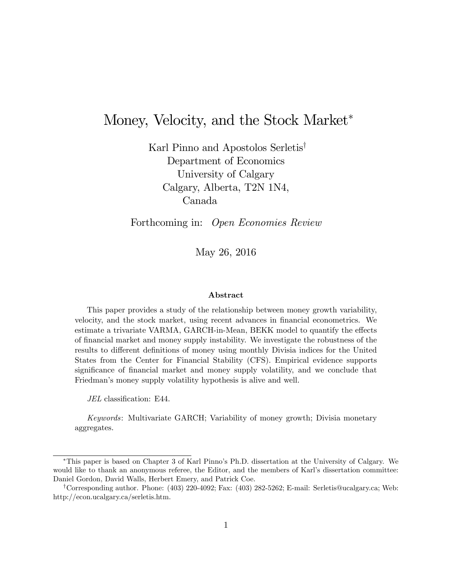## Money, Velocity, and the Stock Market<sup>\*</sup>

Karl Pinno and Apostolos Serletis<sup>†</sup> Department of Economics University of Calgary Calgary, Alberta, T2N 1N4, Canada

Forthcoming in: Open Economies Review

May 26, 2016

#### Abstract

This paper provides a study of the relationship between money growth variability, velocity, and the stock market, using recent advances in financial econometrics. We estimate a trivariate VARMA, GARCH-in-Mean, BEKK model to quantify the effects of Önancial market and money supply instability. We investigate the robustness of the results to different definitions of money using monthly Divisia indices for the United States from the Center for Financial Stability (CFS). Empirical evidence supports significance of financial market and money supply volatility, and we conclude that Friedman's money supply volatility hypothesis is alive and well.

JEL classification: E44.

Keywords: Multivariate GARCH; Variability of money growth; Divisia monetary aggregates.

This paper is based on Chapter 3 of Karl Pinnoís Ph.D. dissertation at the University of Calgary. We would like to thank an anonymous referee, the Editor, and the members of Karl's dissertation committee: Daniel Gordon, David Walls, Herbert Emery, and Patrick Coe.

<sup>&</sup>lt;sup>†</sup>Corresponding author. Phone:  $(403)$  220-4092; Fax:  $(403)$  282-5262; E-mail: Serletis@ucalgary.ca; Web: http://econ.ucalgary.ca/serletis.htm.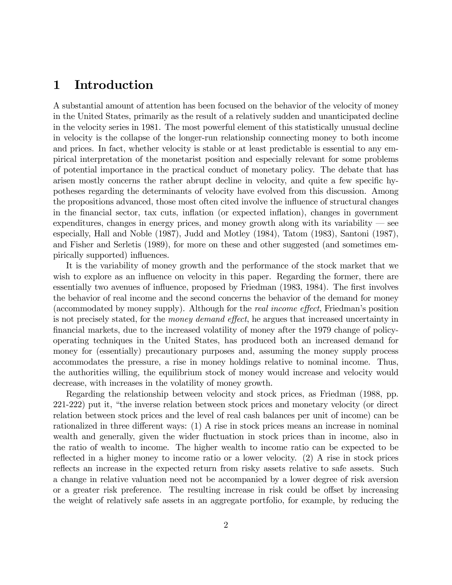#### 1 Introduction

A substantial amount of attention has been focused on the behavior of the velocity of money in the United States, primarily as the result of a relatively sudden and unanticipated decline in the velocity series in 1981. The most powerful element of this statistically unusual decline in velocity is the collapse of the longer-run relationship connecting money to both income and prices. In fact, whether velocity is stable or at least predictable is essential to any empirical interpretation of the monetarist position and especially relevant for some problems of potential importance in the practical conduct of monetary policy. The debate that has arisen mostly concerns the rather abrupt decline in velocity, and quite a few specific hypotheses regarding the determinants of velocity have evolved from this discussion. Among the propositions advanced, those most often cited involve the influence of structural changes in the financial sector, tax cuts, inflation (or expected inflation), changes in government expenditures, changes in energy prices, and money growth along with its variability  $\sim$  see especially, Hall and Noble (1987), Judd and Motley (1984), Tatom (1983), Santoni (1987), and Fisher and Serletis (1989), for more on these and other suggested (and sometimes empirically supported) influences.

It is the variability of money growth and the performance of the stock market that we wish to explore as an influence on velocity in this paper. Regarding the former, there are essentially two avenues of influence, proposed by Friedman (1983, 1984). The first involves the behavior of real income and the second concerns the behavior of the demand for money (accommodated by money supply). Although for the *real income effect*, Friedman's position is not precisely stated, for the *money demand effect*, he argues that increased uncertainty in Önancial markets, due to the increased volatility of money after the 1979 change of policyoperating techniques in the United States, has produced both an increased demand for money for (essentially) precautionary purposes and, assuming the money supply process accommodates the pressure, a rise in money holdings relative to nominal income. Thus, the authorities willing, the equilibrium stock of money would increase and velocity would decrease, with increases in the volatility of money growth.

Regarding the relationship between velocity and stock prices, as Friedman (1988, pp.  $221-222$ ) put it, "the inverse relation between stock prices and monetary velocity (or direct relation between stock prices and the level of real cash balances per unit of income) can be rationalized in three different ways:  $(1)$  A rise in stock prices means an increase in nominal wealth and generally, given the wider fluctuation in stock prices than in income, also in the ratio of wealth to income. The higher wealth to income ratio can be expected to be reflected in a higher money to income ratio or a lower velocity.  $(2)$  A rise in stock prices reflects an increase in the expected return from risky assets relative to safe assets. Such a change in relative valuation need not be accompanied by a lower degree of risk aversion or a greater risk preference. The resulting increase in risk could be offset by increasing the weight of relatively safe assets in an aggregate portfolio, for example, by reducing the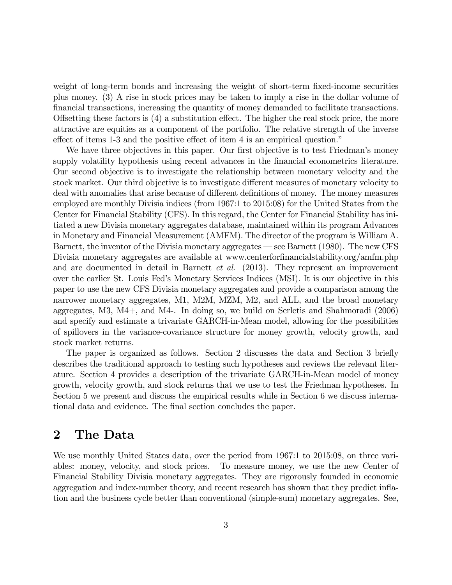weight of long-term bonds and increasing the weight of short-term fixed-income securities plus money. (3) A rise in stock prices may be taken to imply a rise in the dollar volume of Önancial transactions, increasing the quantity of money demanded to facilitate transactions. Offsetting these factors is  $(4)$  a substitution effect. The higher the real stock price, the more attractive are equities as a component of the portfolio. The relative strength of the inverse effect of items 1-3 and the positive effect of item 4 is an empirical question.<sup>"</sup>

We have three objectives in this paper. Our first objective is to test Friedman's money supply volatility hypothesis using recent advances in the financial econometrics literature. Our second objective is to investigate the relationship between monetary velocity and the stock market. Our third objective is to investigate different measures of monetary velocity to deal with anomalies that arise because of different definitions of money. The money measures employed are monthly Divisia indices (from 1967:1 to 2015:08) for the United States from the Center for Financial Stability (CFS). In this regard, the Center for Financial Stability has initiated a new Divisia monetary aggregates database, maintained within its program Advances in Monetary and Financial Measurement (AMFM). The director of the program is William A. Barnett, the inventor of the Divisia monetary aggregates – see Barnett (1980). The new CFS Divisia monetary aggregates are available at www.centerformancialstability.org/amfm.php and are documented in detail in Barnett et al. (2013). They represent an improvement over the earlier St. Louis Fedís Monetary Services Indices (MSI). It is our objective in this paper to use the new CFS Divisia monetary aggregates and provide a comparison among the narrower monetary aggregates, M1, M2M, MZM, M2, and ALL, and the broad monetary aggregates, M3, M4+, and M4-. In doing so, we build on Serletis and Shahmoradi (2006) and specify and estimate a trivariate GARCH-in-Mean model, allowing for the possibilities of spillovers in the variance-covariance structure for money growth, velocity growth, and stock market returns.

The paper is organized as follows. Section 2 discusses the data and Section 3 briefly describes the traditional approach to testing such hypotheses and reviews the relevant literature. Section 4 provides a description of the trivariate GARCH-in-Mean model of money growth, velocity growth, and stock returns that we use to test the Friedman hypotheses. In Section 5 we present and discuss the empirical results while in Section 6 we discuss international data and evidence. The final section concludes the paper.

#### 2 The Data

We use monthly United States data, over the period from 1967:1 to 2015:08, on three variables: money, velocity, and stock prices. To measure money, we use the new Center of Financial Stability Divisia monetary aggregates. They are rigorously founded in economic aggregation and index-number theory, and recent research has shown that they predict ináation and the business cycle better than conventional (simple-sum) monetary aggregates. See,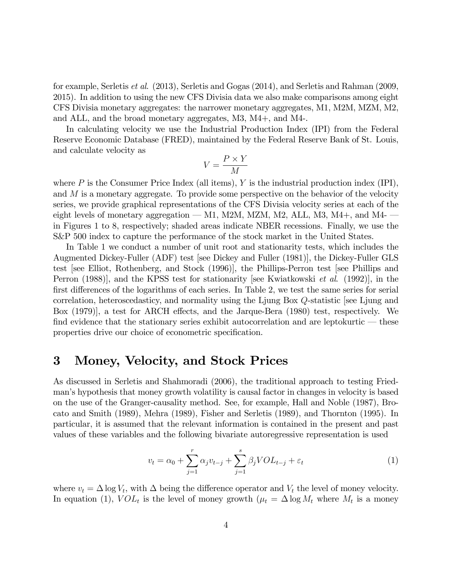for example, Serletis et al. (2013), Serletis and Gogas (2014), and Serletis and Rahman (2009, 2015). In addition to using the new CFS Divisia data we also make comparisons among eight CFS Divisia monetary aggregates: the narrower monetary aggregates, M1, M2M, MZM, M2, and ALL, and the broad monetary aggregates, M3, M4+, and M4-.

In calculating velocity we use the Industrial Production Index (IPI) from the Federal Reserve Economic Database (FRED), maintained by the Federal Reserve Bank of St. Louis, and calculate velocity as

$$
V = \frac{P \times Y}{M}
$$

where P is the Consumer Price Index (all items), Y is the industrial production index  $(IPI)$ , and M is a monetary aggregate. To provide some perspective on the behavior of the velocity series, we provide graphical representations of the CFS Divisia velocity series at each of the eight levels of monetary aggregation  $-M1$ , M2M, M2M, M2, ALL, M3, M4+, and M4in Figures 1 to 8, respectively; shaded areas indicate NBER recessions. Finally, we use the S&P 500 index to capture the performance of the stock market in the United States.

In Table 1 we conduct a number of unit root and stationarity tests, which includes the Augmented Dickey-Fuller (ADF) test [see Dickey and Fuller (1981)], the Dickey-Fuller GLS test [see Elliot, Rothenberg, and Stock (1996)], the Phillips-Perron test [see Phillips and Perron (1988)], and the KPSS test for stationarity [see Kwiatkowski et al. (1992)], in the first differences of the logarithms of each series. In Table 2, we test the same series for serial correlation, heteroscedasticy, and normality using the Ljung Box Q-statistic [see Ljung and Box (1979), a test for ARCH effects, and the Jarque-Bera (1980) test, respectively. We find evidence that the stationary series exhibit autocorrelation and are leptokurtic  $-$  these properties drive our choice of econometric specification.

#### 3 Money, Velocity, and Stock Prices

As discussed in Serletis and Shahmoradi (2006), the traditional approach to testing Friedmanís hypothesis that money growth volatility is causal factor in changes in velocity is based on the use of the Granger-causality method. See, for example, Hall and Noble (1987), Brocato and Smith (1989), Mehra (1989), Fisher and Serletis (1989), and Thornton (1995). In particular, it is assumed that the relevant information is contained in the present and past values of these variables and the following bivariate autoregressive representation is used

$$
v_t = \alpha_0 + \sum_{j=1}^r \alpha_j v_{t-j} + \sum_{j=1}^s \beta_j VOL_{t-j} + \varepsilon_t
$$
\n
$$
\tag{1}
$$

where  $v_t = \Delta \log V_t$ , with  $\Delta$  being the difference operator and  $V_t$  the level of money velocity. In equation (1),  $VOL_t$  is the level of money growth  $(\mu_t = \Delta \log M_t)$  where  $M_t$  is a money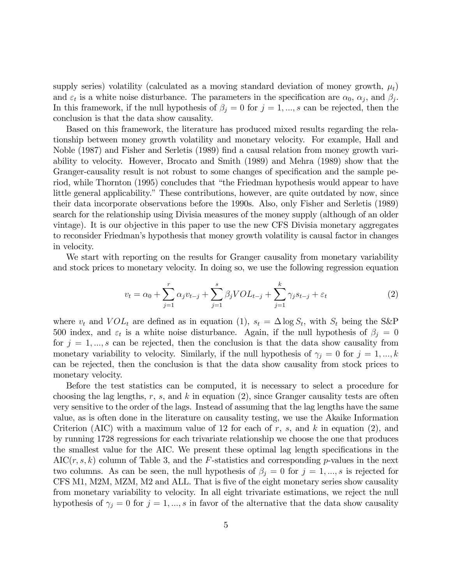supply series) volatility (calculated as a moving standard deviation of money growth,  $\mu_t$ ) and  $\varepsilon_t$  is a white noise disturbance. The parameters in the specification are  $\alpha_0$ ,  $\alpha_j$ , and  $\beta_j$ . In this framework, if the null hypothesis of  $\beta_j = 0$  for  $j = 1, ..., s$  can be rejected, then the conclusion is that the data show causality.

Based on this framework, the literature has produced mixed results regarding the relationship between money growth volatility and monetary velocity. For example, Hall and Noble (1987) and Fisher and Serletis (1989) Önd a causal relation from money growth variability to velocity. However, Brocato and Smith (1989) and Mehra (1989) show that the Granger-causality result is not robust to some changes of specification and the sample period, while Thornton (1995) concludes that "the Friedman hypothesis would appear to have little general applicability." These contributions, however, are quite outdated by now, since their data incorporate observations before the 1990s. Also, only Fisher and Serletis (1989) search for the relationship using Divisia measures of the money supply (although of an older vintage). It is our objective in this paper to use the new CFS Divisia monetary aggregates to reconsider Friedmanís hypothesis that money growth volatility is causal factor in changes in velocity.

We start with reporting on the results for Granger causality from monetary variability and stock prices to monetary velocity. In doing so, we use the following regression equation

$$
v_t = \alpha_0 + \sum_{j=1}^r \alpha_j v_{t-j} + \sum_{j=1}^s \beta_j VOL_{t-j} + \sum_{j=1}^k \gamma_j s_{t-j} + \varepsilon_t
$$
 (2)

where  $v_t$  and  $VOL_t$  are defined as in equation (1),  $s_t = \Delta \log S_t$ , with  $S_t$  being the S&P 500 index, and  $\varepsilon_t$  is a white noise disturbance. Again, if the null hypothesis of  $\beta_j = 0$ for  $j = 1, \ldots, s$  can be rejected, then the conclusion is that the data show causality from monetary variability to velocity. Similarly, if the null hypothesis of  $\gamma_j = 0$  for  $j = 1, ..., k$ can be rejected, then the conclusion is that the data show causality from stock prices to monetary velocity.

Before the test statistics can be computed, it is necessary to select a procedure for choosing the lag lengths,  $r$ ,  $s$ , and  $k$  in equation (2), since Granger causality tests are often very sensitive to the order of the lags. Instead of assuming that the lag lengths have the same value, as is often done in the literature on causality testing, we use the Akaike Information Criterion (AIC) with a maximum value of 12 for each of  $r$ ,  $s$ , and  $k$  in equation (2), and by running 1728 regressions for each trivariate relationship we choose the one that produces the smallest value for the AIC. We present these optimal lag length specifications in the  $AIC(r, s, k)$  column of Table 3, and the F-statistics and corresponding p-values in the next two columns. As can be seen, the null hypothesis of  $\beta_i = 0$  for  $j = 1, ..., s$  is rejected for CFS M1, M2M, MZM, M2 and ALL. That is Öve of the eight monetary series show causality from monetary variability to velocity. In all eight trivariate estimations, we reject the null hypothesis of  $\gamma_j = 0$  for  $j = 1, ..., s$  in favor of the alternative that the data show causality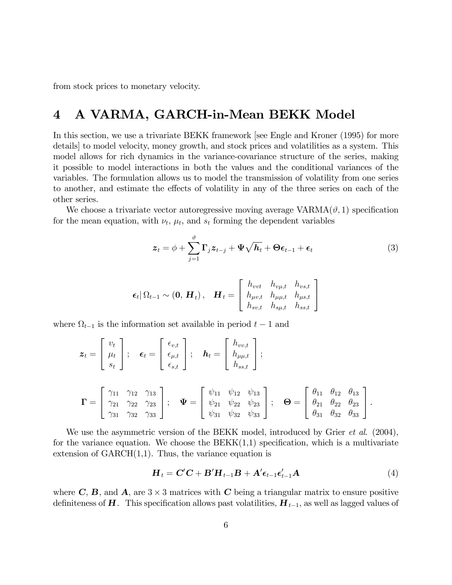from stock prices to monetary velocity.

### 4 A VARMA, GARCH-in-Mean BEKK Model

In this section, we use a trivariate BEKK framework [see Engle and Kroner (1995) for more details] to model velocity, money growth, and stock prices and volatilities as a system. This model allows for rich dynamics in the variance-covariance structure of the series, making it possible to model interactions in both the values and the conditional variances of the variables. The formulation allows us to model the transmission of volatility from one series to another, and estimate the effects of volatility in any of the three series on each of the other series.

We choose a trivariate vector autoregressive moving average  $VARMA(\vartheta, 1)$  specification for the mean equation, with  $\nu_t$ ,  $\mu_t$ , and  $s_t$  forming the dependent variables

$$
\boldsymbol{z}_{t} = \phi + \sum_{j=1}^{\vartheta} \boldsymbol{\Gamma}_{j} \boldsymbol{z}_{t-j} + \boldsymbol{\Psi} \sqrt{\boldsymbol{h}_{t}} + \boldsymbol{\Theta} \boldsymbol{\epsilon}_{t-1} + \boldsymbol{\epsilon}_{t}
$$
(3)

$$
\boldsymbol{\epsilon}_{t} | \Omega_{t-1} \sim (\mathbf{0}, \, \boldsymbol{H}_{t}), \quad \boldsymbol{H}_{t} = \left[ \begin{array}{cc} h_{vvt} & h_{v\mu, t} & h_{v s, t} \\ h_{\mu v, t} & h_{\mu \mu, t} & h_{\mu s, t} \\ h_{s v, t} & h_{s \mu, t} & h_{s s, t} \end{array} \right]
$$

where  $\Omega_{t-1}$  is the information set available in period  $t-1$  and

$$
\mathbf{z}_{t} = \begin{bmatrix} v_{t} \\ \mu_{t} \\ s_{t} \end{bmatrix}; \quad \boldsymbol{\epsilon}_{t} = \begin{bmatrix} \epsilon_{v,t} \\ \epsilon_{\mu,t} \\ \epsilon_{s,t} \end{bmatrix}; \quad \boldsymbol{h}_{t} = \begin{bmatrix} h_{vv,t} \\ h_{\mu\mu,t} \\ h_{ss,t} \end{bmatrix};
$$

$$
\boldsymbol{\Gamma} = \begin{bmatrix} \gamma_{11} & \gamma_{12} & \gamma_{13} \\ \gamma_{21} & \gamma_{22} & \gamma_{23} \\ \gamma_{31} & \gamma_{32} & \gamma_{33} \end{bmatrix}; \quad \boldsymbol{\Psi} = \begin{bmatrix} \psi_{11} & \psi_{12} & \psi_{13} \\ \psi_{21} & \psi_{22} & \psi_{23} \\ \psi_{31} & \psi_{32} & \psi_{33} \end{bmatrix}; \quad \boldsymbol{\Theta} = \begin{bmatrix} \theta_{11} & \theta_{12} & \theta_{13} \\ \theta_{21} & \theta_{22} & \theta_{23} \\ \theta_{31} & \theta_{32} & \theta_{33} \end{bmatrix}.
$$

We use the asymmetric version of the BEKK model, introduced by Grier *et al.* (2004), for the variance equation. We choose the  $BEKK(1,1)$  specification, which is a multivariate extension of  $GARCH(1,1)$ . Thus, the variance equation is

$$
\boldsymbol{H}_{t} = \boldsymbol{C}'\boldsymbol{C} + \boldsymbol{B}'\boldsymbol{H}_{t-1}\boldsymbol{B} + \boldsymbol{A}'\boldsymbol{\epsilon}_{t-1}\boldsymbol{\epsilon}'_{t-1}\boldsymbol{A}
$$
(4)

where  $\bf{C}, \bf{B},$  and  $\bf{A},$  are  $3 \times 3$  matrices with  $\bf{C}$  being a triangular matrix to ensure positive definiteness of  $H$ . This specification allows past volatilities,  $H_{t-1}$ , as well as lagged values of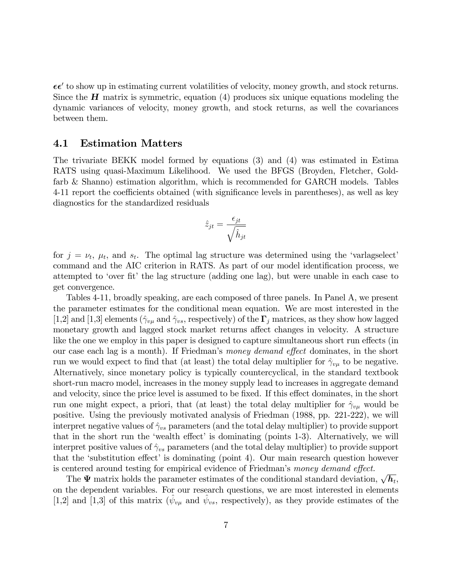$\epsilon \epsilon'$  to show up in estimating current volatilities of velocity, money growth, and stock returns. Since the  $H$  matrix is symmetric, equation (4) produces six unique equations modeling the dynamic variances of velocity, money growth, and stock returns, as well the covariances between them.

#### 4.1 Estimation Matters

The trivariate BEKK model formed by equations (3) and (4) was estimated in Estima RATS using quasi-Maximum Likelihood. We used the BFGS (Broyden, Fletcher, Goldfarb & Shanno) estimation algorithm, which is recommended for GARCH models. Tables 4-11 report the coefficients obtained (with significance levels in parentheses), as well as key diagnostics for the standardized residuals

$$
\hat{z}_{jt} = \frac{\epsilon_{jt}}{\sqrt{\hat{h}_{jt}}}
$$

for  $j = \nu_t$ ,  $\mu_t$ , and  $s_t$ . The optimal lag structure was determined using the 'variage select' command and the AIC criterion in RATS. As part of our model identification process, we attempted to 'over fit' the lag structure (adding one lag), but were unable in each case to get convergence.

Tables 4-11, broadly speaking, are each composed of three panels. In Panel A, we present the parameter estimates for the conditional mean equation. We are most interested in the [1,2] and [1,3] elements ( $\hat{\gamma}_{v\mu}$  and  $\hat{\gamma}_{vs}$ , respectively) of the  $\Gamma_j$  matrices, as they show how lagged monetary growth and lagged stock market returns affect changes in velocity. A structure like the one we employ in this paper is designed to capture simultaneous short run effects (in our case each lag is a month). If Friedman's money demand effect dominates, in the short run we would expect to find that (at least) the total delay multiplier for  $\hat{\gamma}_{v\mu}$  to be negative. Alternatively, since monetary policy is typically countercyclical, in the standard textbook short-run macro model, increases in the money supply lead to increases in aggregate demand and velocity, since the price level is assumed to be fixed. If this effect dominates, in the short run one might expect, a priori, that (at least) the total delay multiplier for  $\hat{\gamma}_{v\mu}$  would be positive. Using the previously motivated analysis of Friedman (1988, pp. 221-222), we will interpret negative values of  $\hat{\gamma}_{vs}$  parameters (and the total delay multiplier) to provide support that in the short run the 'wealth effect' is dominating (points  $1-3$ ). Alternatively, we will interpret positive values of  $\hat{\gamma}_{vs}$  parameters (and the total delay multiplier) to provide support that the 'substitution effect' is dominating (point 4). Our main research question however is centered around testing for empirical evidence of Friedman's money demand effect.

The  $\Psi$  matrix holds the parameter estimates of the conditional standard deviation,  $\sqrt{\mathbf{h}_t}$ , on the dependent variables. For our research questions, we are most interested in elements [1,2] and [1,3] of this matrix  $(\hat{\psi}_{v\mu}$  and  $\hat{\psi}_{vs}$ , respectively), as they provide estimates of the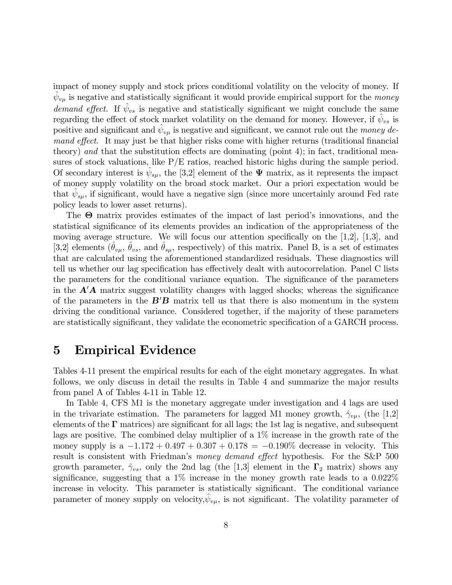impact of money supply and stock prices conditional volatility on the velocity of money. If  $\hat{\psi}_{v\mu}$  is negative and statistically significant it would provide empirical support for the money demand effect. If  $\hat{\psi}_{vs}$  is negative and statistically significant we might conclude the same regarding the effect of stock market volatility on the demand for money. However, if  $\hat{\psi}_{vs}$  is positive and significant and  $\hat{\psi}_{v\mu}$  is negative and significant, we cannot rule out the money demand effect. It may just be that higher risks come with higher returns (traditional financial theory) and that the substitution effects are dominating (point 4); in fact, traditional measures of stock valuations, like  $P/E$  ratios, reached historic highs during the sample period. Of secondary interest is  $\hat{\psi}_{s\mu}$ , the [3,2] element of the  $\Psi$  matrix, as it represents the impact of money supply volatility on the broad stock market. Our a priori expectation would be that  $\hat{\psi}_{s\mu}$ , if significant, would have a negative sign (since more uncertainly around Fed rate policy leads to lower asset returns).

The  $\Theta$  matrix provides estimates of the impact of last period's innovations, and the statistical significance of its elements provides an indication of the appropriateness of the moving average structure. We will focus our attention specifically on the  $[1,2]$ ,  $[1,3]$ , and [3,2] elements  $(\hat{\theta}_{v\mu}, \hat{\theta}_{vs}, \text{ and } \hat{\theta}_{s\mu})$ , respectively) of this matrix. Panel B, is a set of estimates that are calculated using the aforementioned standardized residuals. These diagnostics will tell us whether our lag specification has effectively dealt with autocorrelation. Panel C lists the parameters for the conditional variance equation. The significance of the parameters in the  $\mathbf{A}'\mathbf{A}$  matrix suggest volatility changes with lagged shocks; whereas the significance of the parameters in the  $B'B$  matrix tell us that there is also momentum in the system driving the conditional variance. Considered together, if the majority of these parameters are statistically significant, they validate the econometric specification of a GARCH process.

### 5 Empirical Evidence

Tables 4-11 present the empirical results for each of the eight monetary aggregates. In what follows, we only discuss in detail the results in Table 4 and summarize the major results from panel A of Tables 4-11 in Table 12.

In Table 4, CFS M1 is the monetary aggregate under investigation and 4 lags are used in the trivariate estimation. The parameters for lagged M1 money growth,  $\hat{\gamma}_{vu}$ , (the [1,2] elements of the  $\Gamma$  matrices) are significant for all lags; the 1st lag is negative, and subsequent lags are positive. The combined delay multiplier of a 1% increase in the growth rate of the money supply is a  $-1.172 + 0.497 + 0.307 + 0.178 = -0.190\%$  decrease in velocity. This result is consistent with Friedman's money demand effect hypothesis. For the S&P 500 growth parameter,  $\hat{\gamma}_{vs}$ , only the 2nd lag (the [1,3] element in the  $\Gamma_2$  matrix) shows any significance, suggesting that a  $1\%$  increase in the money growth rate leads to a  $0.022\%$ increase in velocity. This parameter is statistically significant. The conditional variance parameter of money supply on velocity,  $\hat{\psi}_{v\mu}$ , is not significant. The volatility parameter of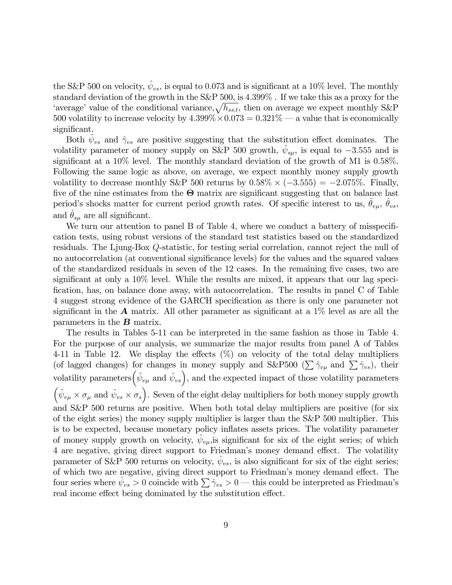the S&P 500 on velocity,  $\hat{\psi}_{vs}$ , is equal to 0.073 and is significant at a 10% level. The monthly standard deviation of the growth in the S&P 500, is 4:399% . If we take this as a proxy for the 'average' value of the conditional variance,  $\sqrt{h_{ss,t}}$ , then on average we expect monthly S&P  $500$  volatility to increase velocity by  $4.399\% \times 0.073 = 0.321\%$  — a value that is economically significant.

Both  $\hat{\psi}_{vs}$  and  $\hat{\gamma}_{vs}$  are positive suggesting that the substitution effect dominates. The volatility parameter of money supply on S&P 500 growth,  $\hat{\psi}_{s\mu}$ , is equal to -3.555 and is significant at a  $10\%$  level. The monthly standard deviation of the growth of M1 is 0.58%. Following the same logic as above, on average, we expect monthly money supply growth volatility to decrease monthly S&P 500 returns by  $0.58\% \times (-3.555) = -2.075\%$ . Finally, five of the nine estimates from the  $\Theta$  matrix are significant suggesting that on balance last period's shocks matter for current period growth rates. Of specific interest to us,  $\hat{\theta}_{v\mu}, \hat{\theta}_{vs}$ , and  $\hat{\theta}_{su}$  are all significant.

We turn our attention to panel B of Table 4, where we conduct a battery of misspecification tests, using robust versions of the standard test statistics based on the standardized residuals. The Ljung-Box Q-statistic, for testing serial correlation, cannot reject the null of no autocorrelation (at conventional significance levels) for the values and the squared values of the standardized residuals in seven of the 12 cases. In the remaining five cases, two are significant at only a  $10\%$  level. While the results are mixed, it appears that our lag specification, has, on balance done away, with autocorrelation. The results in panel  $C$  of Table 4 suggest strong evidence of the GARCH specification as there is only one parameter not significant in the  $A$  matrix. All other parameter as significant at a  $1\%$  level as are all the parameters in the B matrix.

The results in Tables 5-11 can be interpreted in the same fashion as those in Table 4. For the purpose of our analysis, we summarize the major results from panel A of Tables 4-11 in Table 12. We display the effects  $(\%)$  on velocity of the total delay multipliers (of lagged changes) for changes in money supply and S&P500 ( $\sum \hat{\gamma}_{v\mu}$  and  $\sum \hat{\gamma}_{vs}$ ), their volatility parameters  $(\hat{\psi}_{v\mu}$  and  $\hat{\psi}_{vs})$ , and the expected impact of those volatility parameters  $(\hat{\psi}_{v\mu} \times \sigma_{\mu} \text{ and } \hat{\psi}_{v\sigma} \times \sigma_{s})$ . Seven of the eight delay multipliers for both money supply growth and S&P 500 returns are positive. When both total delay multipliers are positive (for six of the eight series) the money supply multiplier is larger than the S&P 500 multiplier. This is to be expected, because monetary policy ináates assets prices. The volatility parameter of money supply growth on velocity,  $\hat{\psi}_{v\mu}$ , is significant for six of the eight series; of which 4 are negative, giving direct support to Friedman's money demand effect. The volatility parameter of S&P 500 returns on velocity,  $\hat{\psi}_{vs}$ , is also significant for six of the eight series; of which two are negative, giving direct support to Friedman's money demand effect. The four series where  $\hat{\psi}_{vs} > 0$  coincide with  $\sum \hat{\gamma}_{vs} > 0$  — this could be interpreted as Friedman's real income effect being dominated by the substitution effect.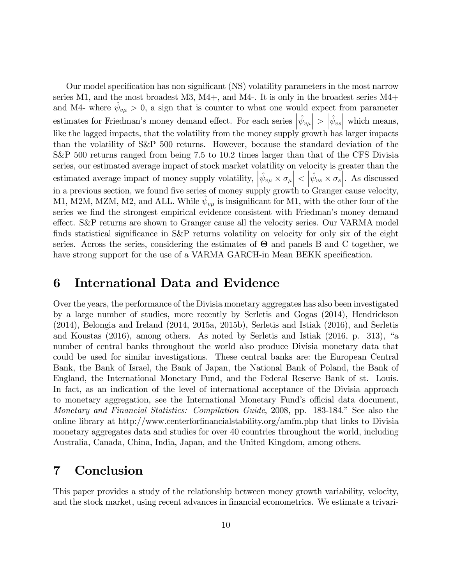Our model specification has non significant (NS) volatility parameters in the most narrow series M1, and the most broadest M3, M4+, and M4-. It is only in the broadest series M4+ and M4- where  $\hat{\psi}_{v\mu} > 0$ , a sign that is counter to what one would expect from parameter estimates for Friedman's money demand effect. For each series  $|\hat{\psi}_{v\mu}| > |\hat{\psi}_{vs}|$  which means, like the lagged impacts, that the volatility from the money supply growth has larger impacts than the volatility of S&P 500 returns. However, because the standard deviation of the S&P 500 returns ranged from being 7.5 to 10.2 times larger than that of the CFS Divisia series, our estimated average impact of stock market volatility on velocity is greater than the estimated average impact of money supply volatility,  $|\hat{\psi}_{v\mu} \times \sigma_{\mu}| < |\hat{\psi}_{vs} \times \sigma_{s}|$ . As discussed in a previous section, we found five series of money supply growth to Granger cause velocity, M1, M2M, MZM, M2, and ALL. While  $\hat{\psi}_{v\mu}$  is insignificant for M1, with the other four of the series we find the strongest empirical evidence consistent with Friedman's money demand effect. S&P returns are shown to Granger cause all the velocity series. Our VARMA model finds statistical significance in  $S\&P$  returns volatility on velocity for only six of the eight series. Across the series, considering the estimates of  $\Theta$  and panels B and C together, we have strong support for the use of a VARMA GARCH-in Mean BEKK specification.

### 6 International Data and Evidence

Over the years, the performance of the Divisia monetary aggregates has also been investigated by a large number of studies, more recently by Serletis and Gogas (2014), Hendrickson (2014), Belongia and Ireland (2014, 2015a, 2015b), Serletis and Istiak (2016), and Serletis and Koustas  $(2016)$ , among others. As noted by Serletis and Istiak  $(2016, p. 313)$ , "a number of central banks throughout the world also produce Divisia monetary data that could be used for similar investigations. These central banks are: the European Central Bank, the Bank of Israel, the Bank of Japan, the National Bank of Poland, the Bank of England, the International Monetary Fund, and the Federal Reserve Bank of st. Louis. In fact, as an indication of the level of international acceptance of the Divisia approach to monetary aggregation, see the International Monetary Fund's official data document, Monetary and Financial Statistics: Compilation Guide, 2008, pp. 183-184." See also the online library at http://www.centerformancialstability.org/amfm.php that links to Divisia monetary aggregates data and studies for over 40 countries throughout the world, including Australia, Canada, China, India, Japan, and the United Kingdom, among others.

### 7 Conclusion

This paper provides a study of the relationship between money growth variability, velocity, and the stock market, using recent advances in financial econometrics. We estimate a trivari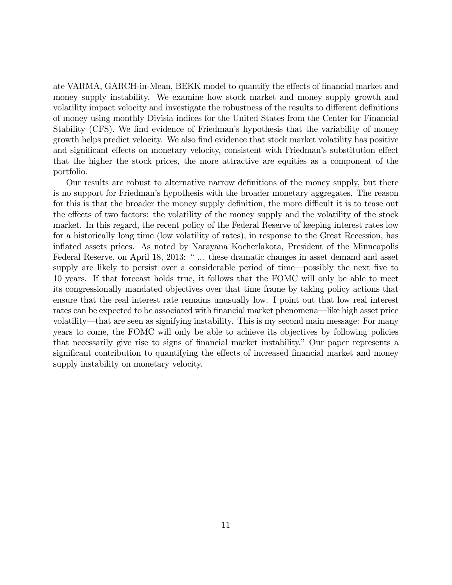ate VARMA, GARCH-in-Mean, BEKK model to quantify the effects of financial market and money supply instability. We examine how stock market and money supply growth and volatility impact velocity and investigate the robustness of the results to different definitions of money using monthly Divisia indices for the United States from the Center for Financial Stability (CFS). We find evidence of Friedman's hypothesis that the variability of money growth helps predict velocity. We also find evidence that stock market volatility has positive and significant effects on monetary velocity, consistent with Friedman's substitution effect that the higher the stock prices, the more attractive are equities as a component of the portfolio.

Our results are robust to alternative narrow definitions of the money supply, but there is no support for Friedmanís hypothesis with the broader monetary aggregates. The reason for this is that the broader the money supply definition, the more difficult it is to tease out the effects of two factors: the volatility of the money supply and the volatility of the stock market. In this regard, the recent policy of the Federal Reserve of keeping interest rates low for a historically long time (low volatility of rates), in response to the Great Recession, has ináated assets prices. As noted by Narayana Kocherlakota, President of the Minneapolis Federal Reserve, on April 18, 2013: " ... these dramatic changes in asset demand and asset supply are likely to persist over a considerable period of time—possibly the next five to 10 years. If that forecast holds true, it follows that the FOMC will only be able to meet its congressionally mandated objectives over that time frame by taking policy actions that ensure that the real interest rate remains unusually low. I point out that low real interest rates can be expected to be associated with financial market phenomena—like high asset price volatility—that are seen as signifying instability. This is my second main message: For many years to come, the FOMC will only be able to achieve its objectives by following policies that necessarily give rise to signs of financial market instability." Our paper represents a significant contribution to quantifying the effects of increased financial market and money supply instability on monetary velocity.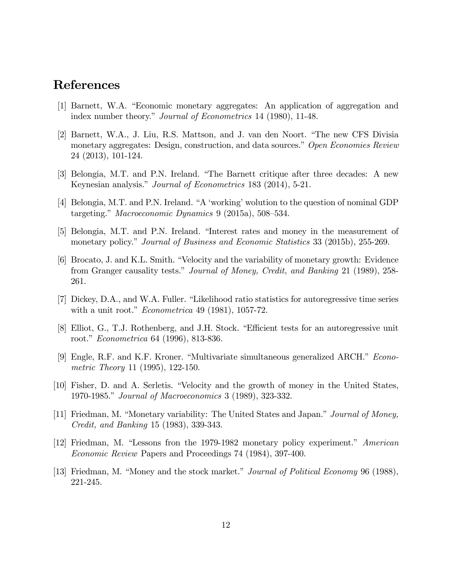### References

- [1] Barnett, W.A. ìEconomic monetary aggregates: An application of aggregation and index number theory." Journal of Econometrics 14 (1980), 11-48.
- [2] Barnett, W.A., J. Liu, R.S. Mattson, and J. van den Noort. "The new CFS Divisia monetary aggregates: Design, construction, and data sources." Open Economies Review 24 (2013), 101-124.
- [3] Belongia, M.T. and P.N. Ireland. "The Barnett critique after three decades: A new Keynesian analysis." Journal of Econometrics 183 (2014), 5-21.
- [4] Belongia, M.T. and P.N. Ireland. "A 'working' wolution to the question of nominal GDP targeting." Macroeconomic Dynamics 9 (2015a), 508–534.
- [5] Belongia, M.T. and P.N. Ireland. "Interest rates and money in the measurement of monetary policy." Journal of Business and Economic Statistics 33 (2015b), 255-269.
- [6] Brocato, J. and K.L. Smith. "Velocity and the variability of monetary growth: Evidence from Granger causality tests." Journal of Money, Credit, and Banking 21 (1989), 258-261.
- [7] Dickey, D.A., and W.A. Fuller. "Likelihood ratio statistics for autoregressive time series with a unit root." *Econometrica* 49 (1981), 1057-72.
- [8] Elliot, G., T.J. Rothenberg, and J.H. Stock. "Efficient tests for an autoregressive unit root." *Econometrica* 64 (1996), 813-836.
- [9] Engle, R.F. and K.F. Kroner. "Multivariate simultaneous generalized ARCH."  $E_{\text{cono}-}$ metric Theory 11 (1995), 122-150.
- [10] Fisher, D. and A. Serletis. "Velocity and the growth of money in the United States, 1970-1985." *Journal of Macroeconomics* 3 (1989), 323-332.
- [11] Friedman, M. "Monetary variability: The United States and Japan." Journal of Money, Credit, and Banking 15 (1983), 339-343.
- [12] Friedman, M. "Lessons fron the 1979-1982 monetary policy experiment." American Economic Review Papers and Proceedings 74 (1984), 397-400.
- [13] Friedman, M. "Money and the stock market." Journal of Political Economy 96 (1988), 221-245.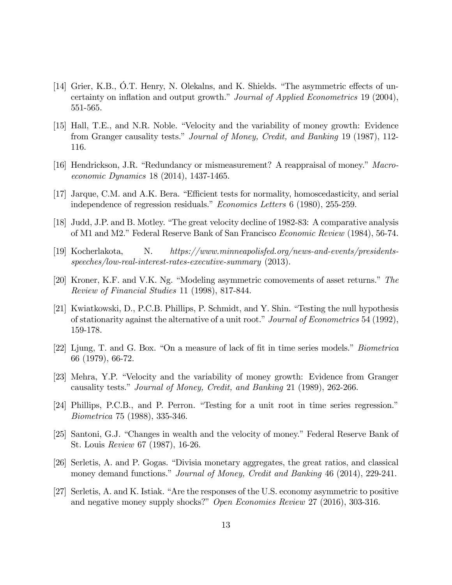- [14] Grier, K.B., O.T. Henry, N. Olekalns, and K. Shields. "The asymmetric effects of uncertainty on inflation and output growth." Journal of Applied Econometrics 19 (2004), 551-565.
- [15] Hall, T.E., and N.R. Noble. "Velocity and the variability of money growth: Evidence from Granger causality tests." Journal of Money, Credit, and Banking 19 (1987), 112-116.
- [16] Hendrickson, J.R. "Redundancy or mismeasurement? A reappraisal of money."  $Macro$ economic Dynamics 18 (2014), 1437-1465.
- [17] Jarque, C.M. and A.K. Bera. "Efficient tests for normality, homoscedasticity, and serial independence of regression residuals." *Economics Letters* 6 (1980), 255-259.
- [18] Judd, J.P. and B. Motley. "The great velocity decline of 1982-83: A comparative analysis of M1 and M2." Federal Reserve Bank of San Francisco *Economic Review* (1984), 56-74.
- [19] Kocherlakota, N. https://www.minneapolisfed.org/news-and-events/presidentsspeeches/low-real-interest-rates-executive-summary (2013).
- [20] Kroner, K.F. and V.K. Ng. "Modeling asymmetric comovements of asset returns." The Review of Financial Studies 11 (1998), 817-844.
- [21] Kwiatkowski, D., P.C.B. Phillips, P. Schmidt, and Y. Shin. "Testing the null hypothesis of stationarity against the alternative of a unit root." Journal of Econometrics 54 (1992), 159-178.
- [22] Ljung, T. and G. Box. "On a measure of lack of fit in time series models." *Biometrica* 66 (1979), 66-72.
- [23] Mehra, Y.P. "Velocity and the variability of money growth: Evidence from Granger causality tests." Journal of Money, Credit, and Banking  $21$  (1989), 262-266.
- [24] Phillips, P.C.B., and P. Perron. "Testing for a unit root in time series regression." Biometrica 75 (1988), 335-346.
- [25] Santoni, G.J. "Changes in wealth and the velocity of money." Federal Reserve Bank of St. Louis Review 67 (1987), 16-26.
- [26] Serletis, A. and P. Gogas. "Divisia monetary aggregates, the great ratios, and classical money demand functions." Journal of Money, Credit and Banking 46 (2014), 229-241.
- [27] Serletis, A. and K. Istiak. "Are the responses of the U.S. economy asymmetric to positive and negative money supply shocks?" Open Economies Review  $27$  (2016), 303-316.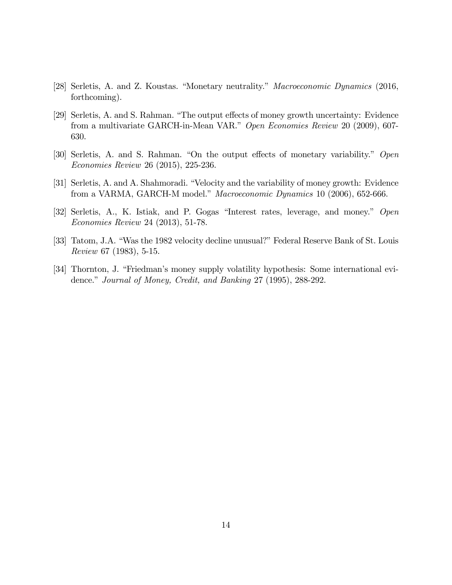- [28] Serletis, A. and Z. Koustas. "Monetary neutrality." *Macroeconomic Dynamics* (2016, forthcoming).
- [29] Serletis, A. and S. Rahman. "The output effects of money growth uncertainty: Evidence from a multivariate GARCH-in-Mean VAR." Open Economies Review 20 (2009), 607-630.
- [30] Serletis, A. and S. Rahman. "On the output effects of monetary variability." Open Economies Review 26 (2015), 225-236.
- [31] Serletis, A. and A. Shahmoradi. "Velocity and the variability of money growth: Evidence from a VARMA, GARCH-M model." Macroeconomic Dynamics 10 (2006), 652-666.
- [32] Serletis, A., K. Istiak, and P. Gogas "Interest rates, leverage, and money." Open Economies Review 24 (2013), 51-78.
- [33] Tatom, J.A. "Was the 1982 velocity decline unusual?" Federal Reserve Bank of St. Louis Review 67 (1983), 5-15.
- [34] Thornton, J. "Friedman's money supply volatility hypothesis: Some international evidence." Journal of Money, Credit, and Banking 27 (1995), 288-292.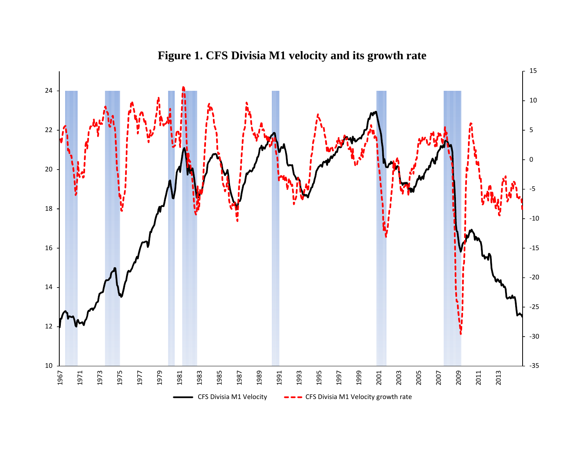

**Figure 1. CFS Divisia M1 velocity and its growth rate**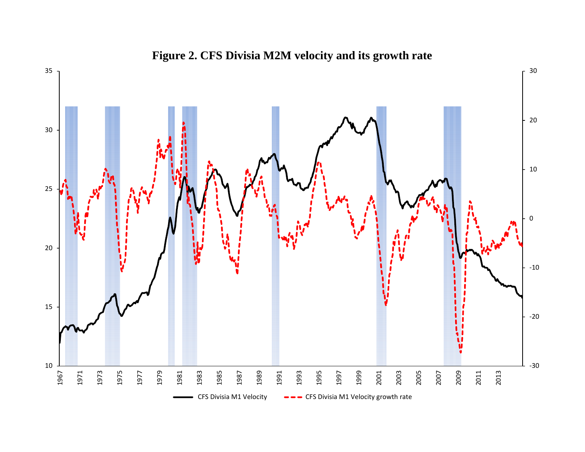

**Figure 2. CFS Divisia M2M velocity and its growth rate**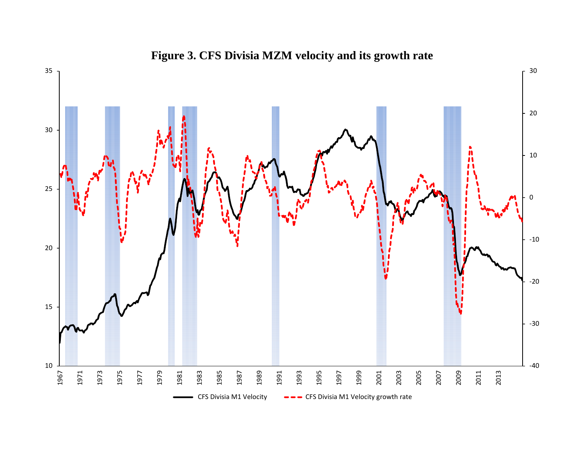

# **Figure 3. CFS Divisia MZM velocity and its growth rate**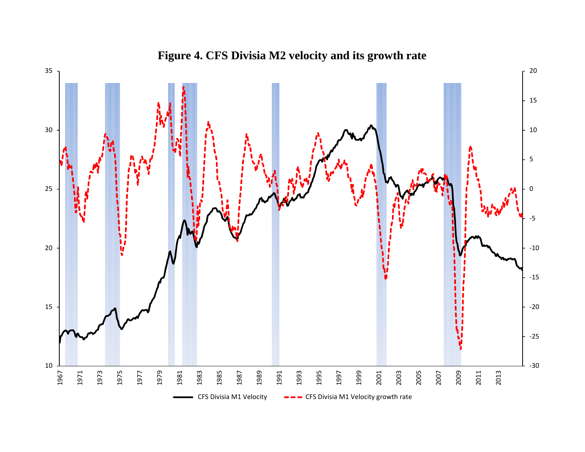

# **Figure 4. CFS Divisia M2 velocity and its growth rate**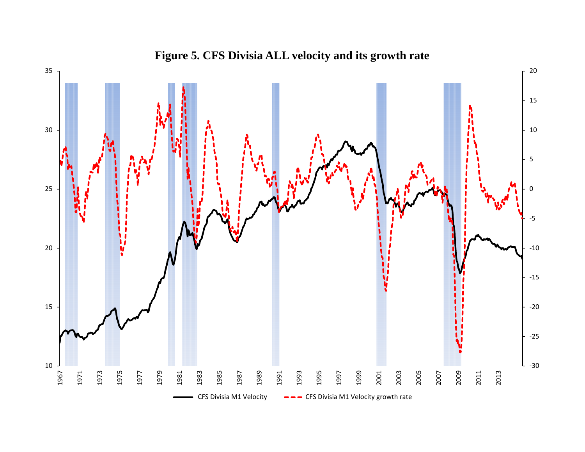

**Figure 5. CFS Divisia ALL velocity and its growth rate**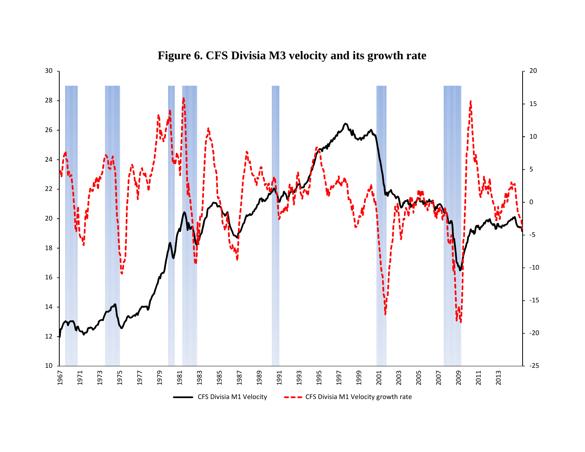

# **Figure 6. CFS Divisia M3 velocity and its growth rate**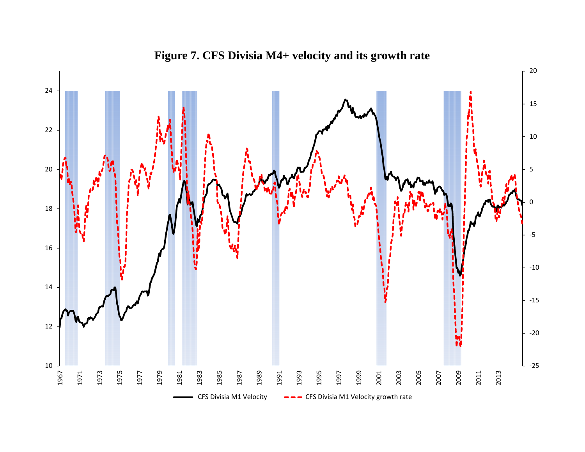

**Figure 7. CFS Divisia M4+ velocity and its growth rate**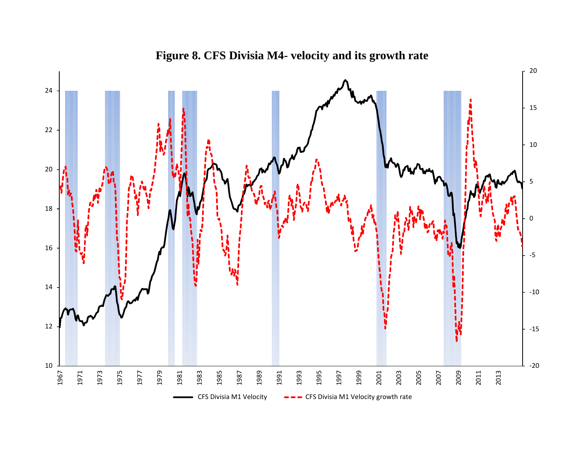

**Figure 8. CFS Divisia M4- velocity and its growth rate**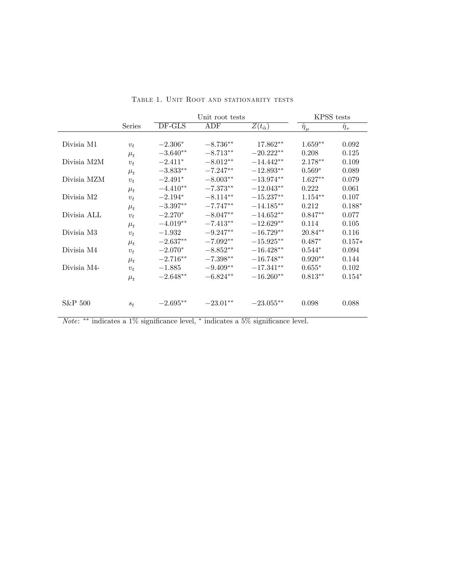|             |         | Unit root tests |            |                       | KPSS tests           |                     |
|-------------|---------|-----------------|------------|-----------------------|----------------------|---------------------|
|             | Series  | DF-GLS          | ADF        | $Z(t_{\hat{\alpha}})$ | $\tilde{\eta}_{\mu}$ | $\hat{\eta}_{\tau}$ |
|             |         |                 |            |                       |                      |                     |
| Divisia M1  | $v_t$   | $-2.306*$       | $-8.736**$ | $17.862**$            | $1.659**$            | 0.092               |
|             | $\mu_t$ | $-3.640**$      | $-8.713**$ | $-20.222**$           | 0.208                | 0.125               |
| Divisia M2M | $v_t$   | $-2.411*$       | $-8.012**$ | $-14.442**$           | $2.178**$            | 0.109               |
|             | $\mu_t$ | $-3.833**$      | $-7.247**$ | $-12.893**$           | $0.569*$             | 0.089               |
| Divisia MZM | $v_t$   | $-2.491*$       | $-8.003**$ | $-13.974**$           | $1.627**$            | 0.079               |
|             | $\mu_t$ | $-4.410**$      | $-7.373**$ | $-12.043**$           | 0.222                | 0.061               |
| Divisia M2  | $v_t$   | $-2.194*$       | $-8.114**$ | $-15.237**$           | $1.154**$            | 0.107               |
|             | $\mu_t$ | $-3.397**$      | $-7.747**$ | $-14.185***$          | 0.212                | $0.188*$            |
| Divisia ALL | $v_t$   | $-2.270*$       | $-8.047**$ | $-14.652**$           | $0.847**$            | 0.077               |
|             | $\mu_t$ | $-4.019**$      | $-7.413**$ | $-12.629**$           | 0.114                | 0.105               |
| Divisia M3  | $v_t$   | $-1.932$        | $-9.247**$ | $-16.729**$           | $20.84**$            | 0.116               |
|             | $\mu_t$ | $-2.637**$      | $-7.092**$ | $-15.925**$           | $0.487*$             | $0.157*$            |
| Divisia M4  | $v_t$   | $-2.070*$       | $-8.852**$ | $-16.428**$           | $0.544*$             | 0.094               |
|             | $\mu_t$ | $-2.716**$      | $-7.398**$ | $-16.748**$           | $0.920**$            | 0.144               |
| Divisia M4- | $v_t$   | $-1.885$        | $-9.409**$ | $-17.341**$           | $0.655*$             | 0.102               |
|             | $\mu_t$ | $-2.648**$      | $-6.824**$ | $-16.260**$           | $0.813**$            | $0.154*$            |
|             |         |                 |            |                       |                      |                     |
| S&P 500     | $S_t$   | $-2.695**$      | $-23.01**$ | $-23.055**$           | 0.098                | 0.088               |

TABLE 1. UNIT ROOT AND STATIONARITY TESTS

*Note*: \*\* indicates a 1% significance level, \* indicates a 5% significance level.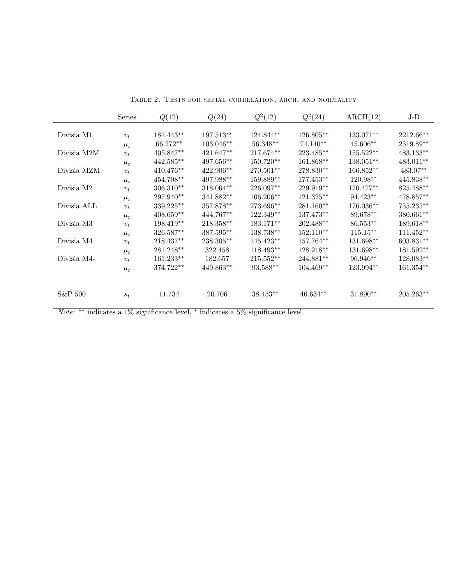|             | Series  | Q(12)                | Q(24)       | $Q^2(12)$   | $Q^2(24)$   | ARCH(12)    | J-B          |
|-------------|---------|----------------------|-------------|-------------|-------------|-------------|--------------|
|             |         |                      |             |             |             |             |              |
| Divisia M1  | $v_t$   | 181.443**            | $197.513**$ | 124.844**   | 126.805**   | 133.071**   | $2212.66***$ |
|             | $\mu_t$ | 66.272**             | $103.046**$ | 56.348**    | $74.140**$  | 45.606**    | 2519.89**    |
| Divisia M2M | $v_t$   | 405.847**            | 421.647**   | 217.674**   | $223.485**$ | 155.522**   | 483.133**    |
|             | $\mu_t$ | 442.585**            | 497.656**   | $150.720**$ | 161.868**   | $138.051**$ | 483.011**    |
| Divisia MZM | $v_t$   | $410.476**$          | 422.906**   | $270.501**$ | 278.830**   | 166.852**   | 483.07**     |
|             | $\mu_t$ | 454.708**            | 497.988**   | 159.889**   | 177.453**   | 120.98**    | 445.838**    |
| Divisia M2  | $v_t$   | $306.310**$          | $318.064**$ | 226.097**   | 229.919**   | 170.477**   | 825.488**    |
|             | $\mu_t$ | $297.940**$          | 341.882**   | $106.206**$ | $121.325**$ | $94.423**$  | 478.857**    |
| Divisia ALL | $v_t$   | 339.225**            | 357.878**   | 273.696**   | 281.160**   | 176.036**   | $755.235***$ |
|             | $\mu_t$ | $408.659**$          | 444.767**   | 122.349**   | 137.473**   | 89.678**    | $380.661**$  |
| Divisia M3  | $v_t$   | $198.419**$          | 218.358**   | 183.171**   | $202.488**$ | 86.553**    | $189.618***$ |
|             | $\mu_t$ | 326.587**            | 387.595**   | 138.738**   | $152.110**$ | $115.15***$ | $111.452**$  |
| Divisia M4  | $v_t$   | 218.437**            | 238.305**   | 145.423**   | 157.764**   | 131.698**   | 603.831**    |
|             | $\mu_t$ | 281.248**            | 322.458     | 118.493**   | 128.218**   | $131.698**$ | 181.592**    |
| Divisia M4- | $v_t$   | $161.233**$          | 182.657     | $215.552**$ | 244.881**   | 96.946**    | 128.083**    |
|             | $\mu_t$ | $374.722^{\ast\ast}$ | 449.863**   | $93.588**$  | $104.469**$ | 123.994**   | $161.354**$  |
|             |         |                      |             |             |             |             |              |
| S&P 500     | $S_t$   | 11.734               | 20.706      | $38.453**$  | $46.634**$  | $31.890**$  | $205.263**$  |

Table 2. Tests for serial correlation, arch, and normality

*Note*: \*\* indicates a 1\% significance level, \* indicates a 5\% significance level.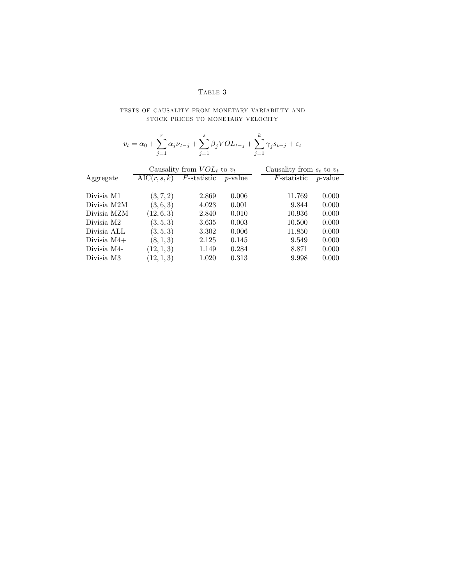#### TABLE 3

#### tests of causality from monetary variabilty and stock prices to monetary velocity

|             | $v_t = \alpha_0 + \sum \alpha_j \nu_{t-j} + \sum \beta_j VOL_{t-j} + \sum \gamma_j s_{t-j} + \varepsilon_t$ |  |
|-------------|-------------------------------------------------------------------------------------------------------------|--|
| $i=1$ $i=1$ |                                                                                                             |  |

|                        |                           | Causality from $VOL_t$ to $v_t$ |            | Causality from $s_t$ to $v_t$ |                 |
|------------------------|---------------------------|---------------------------------|------------|-------------------------------|-----------------|
| Aggregate              | $AIC(r, s, \overline{k})$ | $F\text{-statistic}$            | $p$ -value | $F$ -statistic                | <i>p</i> -value |
|                        |                           |                                 |            |                               |                 |
| Divisia M1             | (3, 7, 2)                 | 2.869                           | 0.006      | 11.769                        | 0.000           |
| Divisia M2M            | (3, 6, 3)                 | 4.023                           | 0.001      | 9.844                         | 0.000           |
| Divisia MZM            | (12, 6, 3)                | 2.840                           | 0.010      | 10.936                        | 0.000           |
| Divisia M <sub>2</sub> | (3, 5, 3)                 | 3.635                           | 0.003      | 10.500                        | 0.000           |
| Divisia ALL            | (3, 5, 3)                 | 3.302                           | 0.006      | 11.850                        | 0.000           |
| Divisia $M4+$          | (8, 1, 3)                 | 2.125                           | 0.145      | 9.549                         | 0.000           |
| Divisia M4-            | (12, 1, 3)                | 1.149                           | 0.284      | 8.871                         | 0.000           |
| Divisia M3             | (12, 1, 3)                | 1.020                           | 0.313      | 9.998                         | 0.000           |
|                        |                           |                                 |            |                               |                 |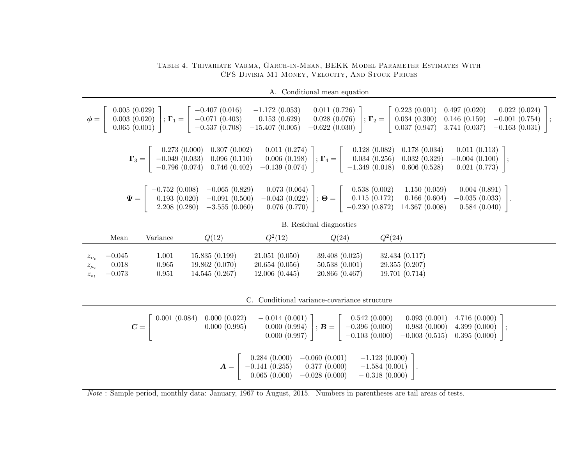Table 4. Trivariate Varma, Garch-in-Mean, BEKK Model Parameter Estimates With CFS Divisia M1 Money, Velocity, And Stock Prices

|                                                                        |                         |                                                 |                                                 |                                                  | $\boldsymbol{\phi} = \left[ \begin{array}{ccc} 0.005 \ (0.029) \\ 0.003 \ (0.020) \\ 0.065 \ (0.001) \end{array} \right]; \ \boldsymbol{\Gamma}_1 = \left[ \begin{array}{ccc} -0.407 \ (0.016) & -1.172 \ (0.053) & 0.011 \ (0.726) \\ -0.071 \ (0.403) & 0.153 \ (0.629) & 0.028 \ (0.076) \\ -0.537 \ (0.708) & -15.407 \ (0.005) & -0.622 \ (0.0$ |  |
|------------------------------------------------------------------------|-------------------------|-------------------------------------------------|-------------------------------------------------|--------------------------------------------------|------------------------------------------------------------------------------------------------------------------------------------------------------------------------------------------------------------------------------------------------------------------------------------------------------------------------------------------------------|--|
|                                                                        |                         |                                                 |                                                 |                                                  | $\boldsymbol{\Gamma}_3 = \left[ \begin{array}{ccc} 0.273 \; (0.000) & 0.307 \; (0.002) & 0.011 \; (0.274) \\ -0.049 \; (0.033) & 0.096 \; (0.110) & 0.006 \; (0.198) \\ -0.796 \; (0.074) & 0.746 \; (0.402) & -0.139 \; (0.074) \end{array} \right];\, \boldsymbol{\Gamma}_4 = \left[ \begin{array}{ccc} 0.128 \; (0.082) & 0.178 \; (0.034)$       |  |
|                                                                        |                         |                                                 |                                                 |                                                  | $\boldsymbol{\Psi} = \left[ \begin{array}{ccc} -0.752 \; (0.008) & -0.065 \; (0.829) & 0.073 \; (0.064) \\ 0.193 \; (0.020) & -0.091 \; (0.500) & -0.043 \; (0.022) \\ 2.208 \; (0.280) & -3.555 \; (0.060) & 0.076 \; (0.770) \end{array} \right]; \, \boldsymbol{\Theta} = \left[ \begin{array}{ccc} 0.538 \; (0.002) & 1.150 \; (0.059) & $       |  |
|                                                                        |                         |                                                 |                                                 | B. Residual diagnostics                          |                                                                                                                                                                                                                                                                                                                                                      |  |
| Mean                                                                   | Variance                | Q(12)                                           | $Q^2(12)$                                       | Q(24)                                            | $Q^2(24)$                                                                                                                                                                                                                                                                                                                                            |  |
| $-0.045$<br>$z_{v_t}$<br>0.018<br>$z_{\mu_t}$<br>$-0.073$<br>$z_{s_t}$ | 1.001<br>0.965<br>0.951 | 15.835(0.199)<br>19.862(0.070)<br>14.545(0.267) | 21.051(0.050)<br>20.654(0.056)<br>12.006(0.445) | 39.408(0.025)<br>50.538(0.001)<br>20.866 (0.467) | 32.434(0.117)<br>29.355 (0.207)<br>19.701(0.714)                                                                                                                                                                                                                                                                                                     |  |

A. Conditional mean equation

C. Conditional variance-covariance structure

| 0.001(0.084)<br>$\bm{C} =$ | 0.000(0.022)<br>0.000(0.995) | $-0.014(0.001)$<br>0.000(0.994)<br>$\mathsf{I}: \mathbf{B} =$<br>0.000(0.997)                         | 0.542(0.000)<br>$-0.396(0.000)$<br>$-0.103(0.000)$    | 0.093(0.001)<br>0.983(0.000)<br>$-0.003(0.515)$ | 4.716(0.000)<br>4.399(0.000)<br>0.395(0.000) |
|----------------------------|------------------------------|-------------------------------------------------------------------------------------------------------|-------------------------------------------------------|-------------------------------------------------|----------------------------------------------|
|                            | $\mathbf{A} =$               | 0.284(0.000)<br>$-0.060(0.001)$<br>$-0.141(0.255)$<br>0.377(0.000)<br>$-0.028(0.000)$<br>0.065(0.000) | $-1.123(0.000)$<br>$-1.584(0.001)$<br>$-0.318(0.000)$ |                                                 |                                              |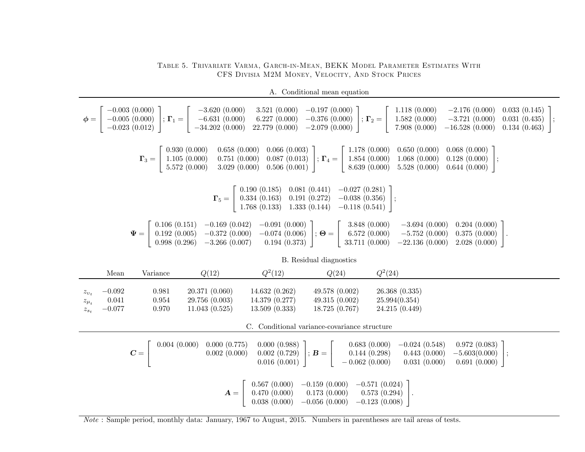Table 5. Trivariate Varma, Garch-in-Mean, BEKK Model Parameter Estimates With CFS Divisia M2M Money, Velocity, And Stock Prices

|  |  | Conditional mean equation |  |  |
|--|--|---------------------------|--|--|
|--|--|---------------------------|--|--|

|                                                         |                                                                                                                                                                                                                                                                                                                                                |  |  |  |  | $\phi = \left[\begin{array}{cc} -0.003 \; (0.000) \\ -0.005 \; (0.000) \\ -0.023 \; (0.012) \end{array}\right];\, \Gamma_1 = \left[\begin{array}{cc} -3.620 \; (0.000) & 3.521 \; (0.000) & -0.197 \; (0.000) \\ -6.631 \; (0.000) & 6.227 \; (0.000) & -0.376 \; (0.000) \\ -3.76 \; (0.000) & -2.079 \; (0.000) \end{array}\right];\, \Gamma_$ |  |  |  |  |
|---------------------------------------------------------|------------------------------------------------------------------------------------------------------------------------------------------------------------------------------------------------------------------------------------------------------------------------------------------------------------------------------------------------|--|--|--|--|--------------------------------------------------------------------------------------------------------------------------------------------------------------------------------------------------------------------------------------------------------------------------------------------------------------------------------------------------|--|--|--|--|
|                                                         | $\mathbf{\Gamma}_3 = \left[\begin{array}{ccc} 0.930 \ (0.000) & 0.658 \ (0.000) & 0.066 \ (0.003) \\ 1.105 \ (0.000) & 0.751 \ (0.000) & 0.087 \ (0.013) \\ 5.572 \ (0.000) & 3.029 \ (0.000) & 0.506 \ (0.001) \end{array}\right];\nonumber \\ \mathbf{\Gamma}_4 = \left[\begin{array}{ccc} 1.178 \ (0.000) & 0.650 \ (0.000) & 0.068 \ (0.0$ |  |  |  |  |                                                                                                                                                                                                                                                                                                                                                  |  |  |  |  |
|                                                         | $\boldsymbol{\Gamma}_5 = \left[ \begin{array}{ccc} 0.190 \ (0.185) & 0.081 \ (0.441) & -0.027 \ (0.281) \\ 0.334 \ (0.163) & 0.191 \ (0.272) & -0.038 \ (0.356) \\ 1.768 \ (0.133) & 1.333 \ (0.144) & -0.118 \ (0.541) \end{array} \right];$                                                                                                  |  |  |  |  |                                                                                                                                                                                                                                                                                                                                                  |  |  |  |  |
|                                                         | $\boldsymbol{\Psi} = \left[ \begin{array}{ccc} 0.106 \; (0.151) & -0.169 \; (0.042) & -0.091 \; (0.000) \\ 0.192 \; (0.005) & -0.372 \; (0.000) & -0.074 \; (0.006) \\ 0.998 \; (0.296) & -3.266 \; (0.007) & 0.194 \; (0.373) \end{array} \right];\, \boldsymbol{\Theta} = \left[ \begin{array}{ccc} 3.848 \; (0.000) & -3.694 \; (0.000) & $ |  |  |  |  |                                                                                                                                                                                                                                                                                                                                                  |  |  |  |  |
|                                                         | B. Residual diagnostics                                                                                                                                                                                                                                                                                                                        |  |  |  |  |                                                                                                                                                                                                                                                                                                                                                  |  |  |  |  |
|                                                         | $Q(24)$ $Q^2(24)$<br>$Q^2(12)$<br>Variance<br>Mean<br>Q(12)                                                                                                                                                                                                                                                                                    |  |  |  |  |                                                                                                                                                                                                                                                                                                                                                  |  |  |  |  |
| $\boldsymbol{z}_{\upsilon_t}$<br>$z_{\mu_t}$<br>$z_{s}$ | $20.371(0.060)$ $14.632(0.262)$ $49.578(0.002)$ $26.368(0.335)$<br>0.981<br>$-0.092$<br>29.756 (0.003) 14.379 (0.277) 49.315 (0.002) 25.994 (0.354)<br>$\,0.041\,$<br>0.954<br>$13.509(0.333)$ $18.725(0.767)$<br>24.215 (0.449)<br>11.043(0.525)<br>$-0.077$<br>0.970                                                                         |  |  |  |  |                                                                                                                                                                                                                                                                                                                                                  |  |  |  |  |
| C. Conditional variance-covariance structure            |                                                                                                                                                                                                                                                                                                                                                |  |  |  |  |                                                                                                                                                                                                                                                                                                                                                  |  |  |  |  |
|                                                         | $\boldsymbol{C} = \left[ \begin{array}{cccc} 0.004 \; (0.000) & 0.000 \; (0.775) & 0.000 \; (0.988) \\ 0.002 \; (0.000) & 0.002 \; (0.729) \\ 0.016 \; (0.001) \end{array} \right]; \, \boldsymbol{B} = \left[ \begin{array}{cccc} 0.683 \; (0.000) & -0.024 \; (0.548) & 0.972 \; (0.083) \\ 0.144 \; (0.298) & 0.443 \; (0.000) & -$         |  |  |  |  |                                                                                                                                                                                                                                                                                                                                                  |  |  |  |  |
|                                                         | $\mathbf{A} = \left[ \begin{array}{ccc} 0.567 \; (0.000) & -0.159 \; (0.000) & -0.571 \; (0.024) \\ 0.470 \; (0.000) & 0.173 \; (0.000) & 0.573 \; (0.294) \\ 0.038 \; (0.000) & -0.056 \; (0.000) & -0.123 \; (0.008) \end{array} \right].$                                                                                                   |  |  |  |  |                                                                                                                                                                                                                                                                                                                                                  |  |  |  |  |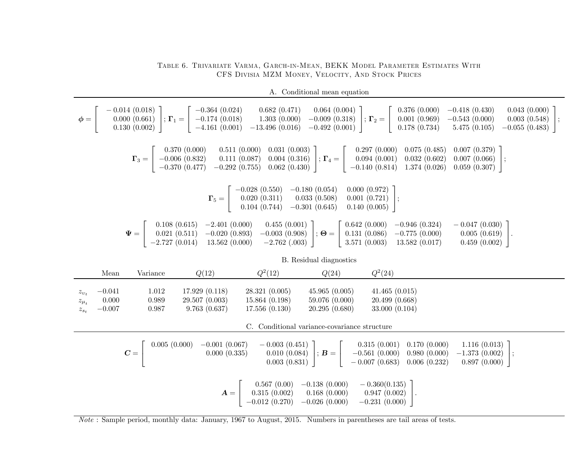Table 6. Trivariate Varma, Garch-in-Mean, BEKK Model Parameter Estimates With CFS Divisia MZM Money, Velocity, And Stock Prices

|                                       |                               |                         |                                                |                                                                                                                                                                                                                                               |                                                  | $\boldsymbol{\phi} = \left[ \begin{array}{rrr} -0.014 \; (0.018) \\ 0.000 \; (0.661) \\ 0.130 \; (0.002) \end{array} \right]; \ \boldsymbol{\Gamma}_1 = \left[ \begin{array}{rrr} -0.364 \; (0.024) & 0.682 \; (0.471) & 0.064 \; (0.004) \\ -0.174 \; (0.018) & 1.303 \; (0.000) & -0.009 \; (0.318) \\ -4.161 \; (0.001) & -13.496 \; (0.016$ |  |
|---------------------------------------|-------------------------------|-------------------------|------------------------------------------------|-----------------------------------------------------------------------------------------------------------------------------------------------------------------------------------------------------------------------------------------------|--------------------------------------------------|-------------------------------------------------------------------------------------------------------------------------------------------------------------------------------------------------------------------------------------------------------------------------------------------------------------------------------------------------|--|
|                                       |                               |                         |                                                |                                                                                                                                                                                                                                               |                                                  | $\mathbf{\Gamma}_3 = \left[ \begin{array}{ccc} 0.370 \; (0.000) & 0.511 \; (0.000) & 0.031 \; (0.003) \\ -0.006 \; (0.832) & 0.111 \; (0.087) & 0.004 \; (0.316) \\ -0.370 \; (0.477) & -0.292 \; (0.755) & 0.062 \; (0.430) \end{array} \right];\, \mathbf{\Gamma}_4 = \left[ \begin{array}{ccc} 0.297 \; (0.000) & 0.075 \; (0.485)$          |  |
|                                       |                               |                         |                                                | $\boldsymbol{\Gamma}_5 = \left[ \begin{array}{ccc} -0.028 \ (0.550) & -0.180 \ (0.054) & 0.000 \ (0.972) \\ 0.020 \ (0.311) & 0.033 \ (0.508) & 0.001 \ (0.721) \\ 0.104 \ (0.744) & -0.301 \ (0.645) & 0.140 \ (0.005) \end{array} \right];$ |                                                  |                                                                                                                                                                                                                                                                                                                                                 |  |
|                                       |                               |                         |                                                |                                                                                                                                                                                                                                               |                                                  | $\boldsymbol{\Psi} = \left[ \begin{array}{ccc} 0.108 \; (0.615) & -2.401 \; (0.000) & 0.455 \; (0.001) \\ 0.021 \; (0.511) & -0.020 \; (0.893) & -0.003 \; (0.908) \\ -2.727 \; (0.014) & 13.562 \; (0.000) & -2.762 \; (0.03) \end{array} \right];\, \boldsymbol{\Theta} = \left[ \begin{array}{ccc} 0.642 \; (0.000) & -0.946 \; (0.324) & -$ |  |
|                                       |                               |                         |                                                |                                                                                                                                                                                                                                               | B. Residual diagnostics                          |                                                                                                                                                                                                                                                                                                                                                 |  |
|                                       | Mean                          | Variance                | Q(12)                                          | $Q^2(12)$                                                                                                                                                                                                                                     | Q(24)                                            | $Q^2(24)$                                                                                                                                                                                                                                                                                                                                       |  |
| $z_{v_t}$<br>$z_{\mu_t}$<br>$z_{s_t}$ | $-0.041$<br>0.000<br>$-0.007$ | 1.012<br>0.989<br>0.987 | 17.929(0.118)<br>29.507(0.003)<br>9.763(0.637) | 28.321(0.005)<br>15.864(0.198)<br>17.556(0.130)                                                                                                                                                                                               | 45.965(0.005)<br>59.076 (0.000)<br>20.295(0.680) | 41.465(0.015)<br>20.499(0.668)<br>33.000 (0.104)                                                                                                                                                                                                                                                                                                |  |
|                                       |                               |                         |                                                |                                                                                                                                                                                                                                               | C. Conditional variance-covariance structure     |                                                                                                                                                                                                                                                                                                                                                 |  |
|                                       |                               | $\mathbf{C} =$          |                                                |                                                                                                                                                                                                                                               |                                                  | $\left[ \begin{array}{ccc} 0.005 \ (0.000) & -0.001 \ (0.067) & -0.003 \ (0.451) \\ 0.000 \ (0.335) & 0.010 \ (0.084) \\ 0.003 \ (0.831) \end{array} \right];\, \, {\boldsymbol B} = \left[ \begin{array}{ccc} 0.315 \ (0.001) & 0.170 \ (0.000) & 1.116 \ (0.013) \\ -0.561 \ (0.000) & 0.980 \ (0.000) & -1.373 \ (0.002) \\ -0.$             |  |

A. Conditional mean equation

 $\overline{\phantom{0}}$ 

 $\overline{\phantom{0}}$ 

 $\bm{A} = \left[ \begin{array}{ccc} \phantom{-}0.567 \,\, (0.00) & -0.138 \,\, (0.000) & -0.360 (0.135) \ 0.315 \,\, (0.002) & \phantom{-}0.168 \,\, (0.000) & \phantom{-}0.947 \,\, (0.002) \ -0.012 \,\, (0.270) & -0.026 \,\, (0.000) & -0.231 \,\, (0.000) \end{array} \right]$  $0.315(0.002)$   $0.168(0.000)$   $0.947(0.002)$  $\begin{bmatrix} 0.002 \\ -0.012 \\ (0.270) \\ -0.026 \\ (0.000) \\ -0.231 \\ (0.000) \\ \end{bmatrix}$ ⎤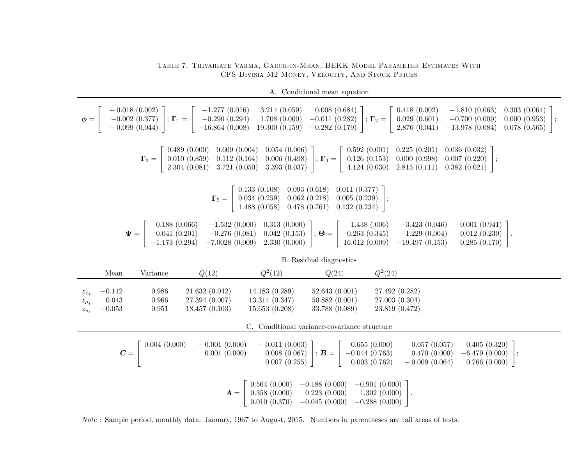Table 7. Trivariate Varma, Garch-in-Mean, BEKK Model Parameter Estimates With CFS Divisia M2 Money, Velocity, And Stock Prices

|  |  | Conditional mean equation |  |  |
|--|--|---------------------------|--|--|
|--|--|---------------------------|--|--|

|                                                           | $\boldsymbol{\phi} = \left[ \begin{array}{rrr} -0.018 \; (0.002) \\ -0.002 \; (0.377) \\ -0.099 \; (0.044) \end{array} \right]; \, \boldsymbol{\Gamma}_1 = \left[ \begin{array}{rrr} -1.277 \; (0.016) & 3.214 \; (0.059) & 0.008 \; (0.684) \\ -0.290 \; (0.294) & 1.708 \; (0.000) & -0.011 \; (0.282) \\ -16.864 \; (0.008) & 19.300 \; (0.1$                                                       |  |  |  |  |  |  |  |  |
|-----------------------------------------------------------|--------------------------------------------------------------------------------------------------------------------------------------------------------------------------------------------------------------------------------------------------------------------------------------------------------------------------------------------------------------------------------------------------------|--|--|--|--|--|--|--|--|
|                                                           | $\mathbf{\Gamma}_3 = \left[\begin{array}{ccc} 0.489 \ (0.000) & 0.609 \ (0.004) & 0.054 \ (0.006) \\ 0.010 \ (0.859) & 0.112 \ (0.164) & 0.006 \ (0.498) \\ 2.304 \ (0.081) & 3.721 \ (0.050) & 3.393 \ (0.037) \end{array}\right];\ \mathbf{\Gamma}_4 = \left[\begin{array}{ccc} 0.592 \ (0.001) & 0.225 \ (0.201) & 0.036 \ (0.032)$                                                                 |  |  |  |  |  |  |  |  |
|                                                           | $\mathbf{\Gamma}_5 = \left[\begin{array}{ccc} 0.133 \ (0.108) & 0.093 \ (0.618) & 0.011 \ (0.377) \\ 0.034 \ (0.259) & 0.062 \ (0.218) & 0.005 \ (0.239) \\ 1.488 \ (0.058) & 0.478 \ (0.761) & 0.132 \ (0.234) \end{array}\right];$                                                                                                                                                                   |  |  |  |  |  |  |  |  |
|                                                           | $\boldsymbol{\Psi} = \left[ \begin{array}{ccc} 0.188 \; (0.066) & -1.532 \; (0.000) & 0.313 \; (0.000) \\ 0.041 \; (0.201) & -0.276 \; (0.081) & 0.042 \; (0.153) \\ -1.173 \; (0.294) & -7.0028 \; (0.009) & 2.330 \; (0.000) \end{array} \right]; \, \boldsymbol{\Theta} = \left[ \begin{array}{ccc} 1.438 \; (.006) & -3.423 \; (0.046) & -$                                                        |  |  |  |  |  |  |  |  |
|                                                           | B. Residual diagnostics                                                                                                                                                                                                                                                                                                                                                                                |  |  |  |  |  |  |  |  |
|                                                           | $Q(12)$ $Q^2(12)$ $Q(24)$ $Q^2(24)$<br>Variance<br>Mean                                                                                                                                                                                                                                                                                                                                                |  |  |  |  |  |  |  |  |
| $\boldsymbol{z}_{\upsilon_t}$<br>$z_{\mu_t}$<br>$z_{s_t}$ | $\begin{array}{cccc} 21.632 \ (0.042) & \quad \  \  14.183 \ (0.289) & \quad \  \  52.643 \ (0.001) & \quad \  \  27.492 \ (0.282) \\ 27.394 \ (0.007) & \quad \  \  13.314 \ (0.347) & \quad \  \  50.882 \ (0.001) & \quad \  \  27.003 \ (0.304) \end{array}$<br>0.986<br>$-0.112$<br>$\,0.043\,$<br>0.966<br>$15.653(0.208)$ $33.788(0.089)$ $23.819(0.472)$<br>$-0.053$<br>18.457(0.103)<br>0.951 |  |  |  |  |  |  |  |  |
|                                                           | C. Conditional variance-covariance structure                                                                                                                                                                                                                                                                                                                                                           |  |  |  |  |  |  |  |  |
|                                                           | $\boldsymbol{C} = \left[ \begin{array}{cccc} 0.004 \; (0.000) & -0.001 \; (0.000) & -0.011 \; (0.003) \\ 0.001 \; (0.000) & 0.008 \; (0.067) \\ 0.007 \; (0.255) \end{array} \right]; \, \boldsymbol{B} = \left[ \begin{array}{cccc} 0.655 \; (0.000) & 0.057 \; (0.057) & 0.405 \; (0.320) \\ -0.044 \; (0.763) & 0.470 \; (0.000) & -$                                                               |  |  |  |  |  |  |  |  |
|                                                           | $\mathbf{A} = \left[ \begin{array}{ccc} 0.564 \ (0.000) & -0.188 \ (0.000) & -0.901 \ (0.000) \\ 0.358 \ (0.000) & 0.223 \ (0.000) & 1.302 \ (0.000) \\ 0.010 \ (0.370) & -0.045 \ (0.000) & -0.288 \ (0.000) \end{array} \right].$                                                                                                                                                                    |  |  |  |  |  |  |  |  |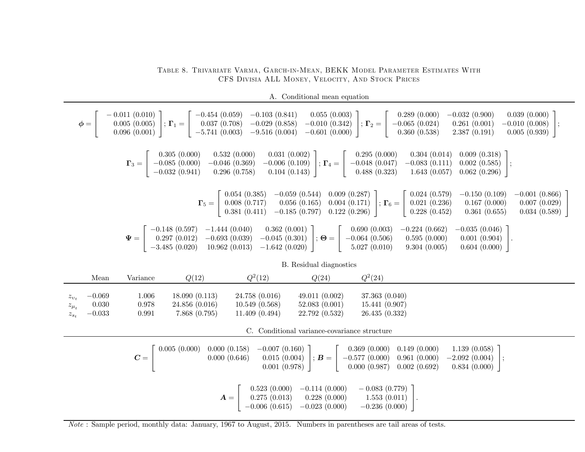Table 8. Trivariate Varma, Garch-in-Mean, BEKK Model Parameter Estimates With CFS Divisia ALL Money, Velocity, And Stock Prices

|  |  |  |  |  | Conditional mean equation |
|--|--|--|--|--|---------------------------|
|--|--|--|--|--|---------------------------|

|                                     |                               |                         |                                                 |                                                                                                                       |                                              | $\boldsymbol{\phi} = \left[\begin{array}{rrr} -0.011 \; (0.010) \\ 0.005 \; (0.005) \\ 0.096 \; (0.001) \end{array}\right]; \, \boldsymbol{\Gamma}_1 = \left[\begin{array}{rrr} -0.454 \; (0.059) & -0.103 \; (0.841) & 0.055 \; (0.003) \\ 0.037 \; (0.708) & -0.029 \; (0.858) & -0.010 \; (0.342) \\ -5.741 \; (0.003) & -9.516 \; (0.004) & -$ |  |
|-------------------------------------|-------------------------------|-------------------------|-------------------------------------------------|-----------------------------------------------------------------------------------------------------------------------|----------------------------------------------|----------------------------------------------------------------------------------------------------------------------------------------------------------------------------------------------------------------------------------------------------------------------------------------------------------------------------------------------------|--|
|                                     |                               |                         |                                                 |                                                                                                                       |                                              | $\boldsymbol{\Gamma}_3 = \left[ \begin{array}{ccc} 0.305 \; (0.000) & 0.532 \; (0.000) & 0.031 \; (0.002) \\ -0.085 \; (0.000) & -0.046 \; (0.369) & -0.006 \; (0.109) \\ -0.032 \; (0.941) & 0.296 \; (0.758) & 0.104 \; (0.143) \end{array} \right]; \\ \boldsymbol{\Gamma}_4 = \left[ \begin{array}{ccc} 0.295 \; (0.000) & 0.304 \; (0.014) &$ |  |
|                                     |                               |                         |                                                 |                                                                                                                       |                                              | $\mathbf{\Gamma}_5 = \left[ \begin{array}{ccc} 0.054 \; (0.385) & -0.059 \; (0.544) & 0.009 \; (0.287) \\ 0.008 \; (0.717) & 0.056 \; (0.165) & 0.004 \; (0.171) \\ 0.381 \; (0.411) & -0.185 \; (0.797) & 0.122 \; (0.296) \end{array} \right];\, \mathbf{\Gamma}_6 = \left[ \begin{array}{ccc} 0.024 \; (0.579) & -0.150 \; (0.109)$             |  |
|                                     |                               |                         |                                                 |                                                                                                                       |                                              | $\boldsymbol{\Psi} = \left[ \begin{array}{ccc} -0.148 \; (0.597) & -1.444 \; (0.040) & 0.362 \; (0.001) \\ 0.297 \; (0.012) & -0.693 \; (0.039) & -0.045 \; (0.301) \\ -3.485 \; (0.020) & 10.962 \; (0.013) & -1.642 \; (0.020) \end{array} \right]; \, \boldsymbol{\Theta} = \left[ \begin{array}{ccc} 0.690 \; (0.003) & -0.224 \; (0.662) &$   |  |
|                                     |                               |                         |                                                 |                                                                                                                       | B. Residual diagnostics                      |                                                                                                                                                                                                                                                                                                                                                    |  |
|                                     | Mean                          | Variance                |                                                 | $Q(12)$ $Q^2(12)$                                                                                                     | Q(24)                                        | $Q^2(24)$                                                                                                                                                                                                                                                                                                                                          |  |
| $z_{v_t}$<br>$z_{\mu_t}$<br>$z_{s}$ | $-0.069$<br>0.030<br>$-0.033$ | 1.006<br>0.978<br>0.991 | 18.090(0.113)<br>24.856(0.016)<br>7.868 (0.795) | $24.758(0.016)$ $49.011(0.002)$<br>$10.549(0.568)$ $52.083(0.001)$ $15.441(0.907)$<br>$11.409(0.494)$ $22.792(0.532)$ | C. Conditional variance-covariance structure | 37.363 (0.040)<br>26.435(0.332)                                                                                                                                                                                                                                                                                                                    |  |
|                                     |                               |                         |                                                 |                                                                                                                       |                                              | $\boldsymbol{C} = \left[ \begin{array}{ccc} 0.005 \ (0.000) & 0.000 \ (0.158) & -0.007 \ (0.160) \\ & 0.000 \ (0.646) & 0.015 \ (0.004) \\ & 0.001 \ (0.978) \end{array} \right]; \ \boldsymbol{B} = \left[ \begin{array}{ccc} 0.369 \ (0.000) & 0.149 \ (0.000) & 1.139 \ (0.058) \\ -0.577 \ (0.000) & 0.961 \ (0.000) & -2.092 \ (0.0$          |  |
|                                     |                               |                         |                                                 |                                                                                                                       |                                              | $\mathbf{A} = \left[ \begin{array}{ccc} \phantom{-}0.523 \; (0.000) & -0.114 \; (0.000) & -\phantom{-}0.083 \; (0.779) \\ 0.275 \; (0.013) & \phantom{-}0.228 \; (0.000) & \phantom{-}1.553 \; (0.011) \\ -0.006 \; (0.615) & -0.023 \; (0.000) & -0.236 \; (0.000) \end{array} \right].$                                                          |  |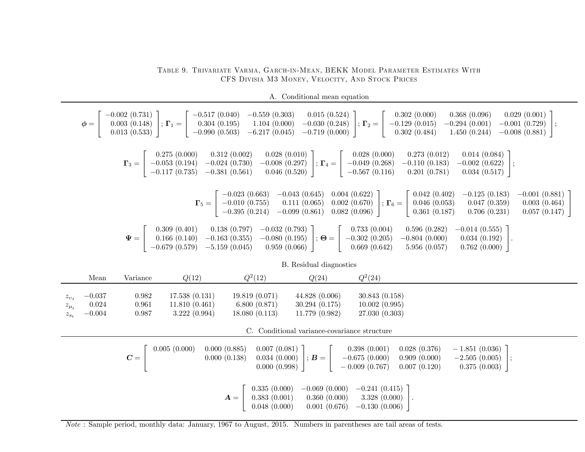Table 9. Trivariate Varma, Garch-in-Mean, BEKK Model Parameter Estimates With CFS Divisia M3 Money, Velocity, And Stock Prices

| Conditional mean equation |  |
|---------------------------|--|
|---------------------------|--|

|                          |                               |                         |                                                                                          | $\boldsymbol{\phi} = \left[\begin{array}{c} -0.002 \ (0.731) \\ 0.003 \ (0.148) \\ 0.013 \ (0.533) \end{array} \right]; \ \boldsymbol{\Gamma}_1 = \left[\begin{array}{c} -0.517 \ (0.040) \\ 0.304 \ (0.195) \\ -0.990 \ (0.503) \end{array} \begin{array}{c} -0.559 \ (0.303) \\ 1.104 \ (0.000) \\ -0.030 \ (0.248) \\ \end{array} \begin{array}{c} 0.015 \ (0.524) \\ 0.248$ |                                                                                                                                                                                                                                                                                                                                           |               |  |  |
|--------------------------|-------------------------------|-------------------------|------------------------------------------------------------------------------------------|---------------------------------------------------------------------------------------------------------------------------------------------------------------------------------------------------------------------------------------------------------------------------------------------------------------------------------------------------------------------------------|-------------------------------------------------------------------------------------------------------------------------------------------------------------------------------------------------------------------------------------------------------------------------------------------------------------------------------------------|---------------|--|--|
|                          |                               |                         |                                                                                          | $\mathbf{\Gamma}_3 = \left[ \begin{array}{ccc} 0.275 \; (0.000) & 0.312 \; (0.002) & 0.028 \; (0.010) \\ -0.053 \; (0.194) & -0.024 \; (0.730) & -0.008 \; (0.297) \\ -0.117 \; (0.735) & -0.381 \; (0.561) & 0.046 \; (0.520) \end{array} \right]; \\ \mathbf{\Gamma}_4 = \left[ \begin{array}{ccc} 0.028 \; (0.000) & 0.273 \; (0.012) &$                                     |                                                                                                                                                                                                                                                                                                                                           |               |  |  |
|                          |                               |                         |                                                                                          | $\boldsymbol{\Gamma}_5 = \left[ \begin{array}{ccc} -0.023 \; (0.663) & -0.043 \; (0.645) & 0.004 \; (0.622) \\ -0.010 \; (0.755) & 0.111 \; (0.065) & 0.002 \; (0.670) \\ -0.395 \; (0.214) & -0.099 \; (0.861) & 0.082 \; (0.096) \end{array} \right]; \\ \boldsymbol{\Gamma}_6 = \left[ \begin{array}{ccc} 0.042 \; (0.402) & -0.125 \; (0.183) &$                            |                                                                                                                                                                                                                                                                                                                                           |               |  |  |
|                          |                               |                         |                                                                                          | $\boldsymbol{\Psi} = \left[ \begin{array}{ccc} 0.309 \; (0.401) & 0.138 \; (0.797) & -0.032 \; (0.793) \\ 0.166 \; (0.140) & -0.163 \; (0.355) & -0.080 \; (0.195) \\ -0.679 \; (0.579) & -5.159 \; (0.045) & 0.959 \; (0.066) \end{array} \right]; \, \boldsymbol{\Theta} = \left[ \begin{array}{ccc} 0.733 \; (0.004) & 0.596 \; (0.282) & -$                                 |                                                                                                                                                                                                                                                                                                                                           |               |  |  |
|                          |                               |                         |                                                                                          |                                                                                                                                                                                                                                                                                                                                                                                 | B. Residual diagnostics                                                                                                                                                                                                                                                                                                                   |               |  |  |
|                          | Mean                          | Variance                |                                                                                          | $Q(12)$ $Q^2(12)$ $Q(24)$ $Q^2(24)$                                                                                                                                                                                                                                                                                                                                             |                                                                                                                                                                                                                                                                                                                                           |               |  |  |
| $z_{v_t}$<br>$z_{\mu_t}$ | $-0.037$<br>0.024<br>$-0.004$ | 0.982<br>0.961<br>0.987 | 11.810(0.461)<br>3.222(0.994)                                                            | $17.538~(0.131) \qquad \  \  19.819~(0.071) \qquad \  \  44.828~(0.006) \qquad \  \  30.843~(0.158)$<br>6.800 (0.871) 30.294 (0.175) 10.002 (0.995)<br>$18.080(0.113)$ $11.779(0.982)$                                                                                                                                                                                          | C. Conditional variance-covariance structure                                                                                                                                                                                                                                                                                              | 27.030(0.303) |  |  |
|                          |                               |                         | $C = \begin{bmatrix} 0.005 & (0.000) & 0.000 & (0.885) \\ 0.000 & (0.138) \end{bmatrix}$ |                                                                                                                                                                                                                                                                                                                                                                                 | $\left.\begin{array}{cc} 0.007 \ (0.081) \\ 0.034 \ (0.000) \\ 0.000 \ (0.998) \end{array}\right];\, {\boldsymbol B} = \left[\begin{array}{cc} 0.398 \ (0.001) & 0.028 \ (0.376) & -1.851 \ (0.036) \\ -0.675 \ (0.000) & 0.909 \ (0.000) & -2.505 \ (0.005) \\ -0.009 \ (0.767) & 0.007 \ (0.120) & 0.375 \ (0.003) \end{array}\right];$ |               |  |  |
|                          |                               |                         |                                                                                          | $\mathbf{A} = \left[ \begin{array}{ccc} 0.335 \ (0.000) & -0.069 \ (0.000) & -0.241 \ (0.415) \\ 0.383 \ (0.001) & 0.360 \ (0.000) & 3.328 \ (0.000) \\ 0.048 \ (0.000) & 0.001 \ (0.676) & -0.130 \ (0.006) \end{array} \right].$                                                                                                                                              |                                                                                                                                                                                                                                                                                                                                           |               |  |  |

 $\overline{\phantom{0}}$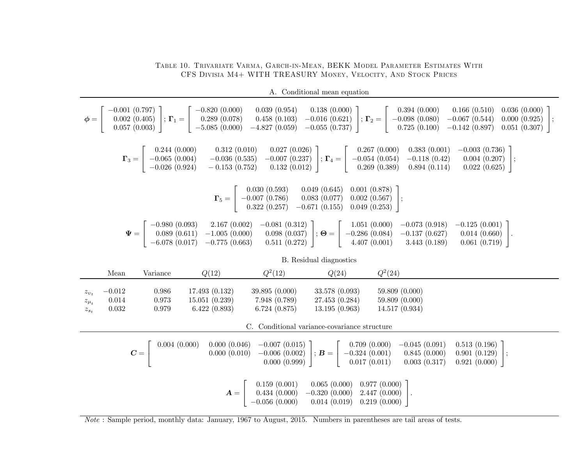Table 10. Trivariate Varma, Garch-in-Mean, BEKK Model Parameter Estimates With CFS Divisia M4+ WITH TREASURY Money, Velocity, And Stock Prices

|                                                         |                            |                         |                                                 |                                                                                                                                                                                                                                                               |                         |                                                                                                                                                                                                                                                                                                                                                 | $\phi = \left[\begin{array}{cc} -0.001\ (0.797) \\ 0.002\ (0.405) \\ 0.057\ (0.003) \end{array}\right];\ \Gamma_1 = \left[\begin{array}{cc} -0.820\ (0.000) & 0.039\ (0.954) & 0.138\ (0.000) \\ 0.289\ (0.078) & 0.458\ (0.103) & -0.016\ (0.621) \\ -5.085\ (0.000) & -4.827\ (0.059) & -0.055\ (0.737) \end{array}\right];\$ |
|---------------------------------------------------------|----------------------------|-------------------------|-------------------------------------------------|---------------------------------------------------------------------------------------------------------------------------------------------------------------------------------------------------------------------------------------------------------------|-------------------------|-------------------------------------------------------------------------------------------------------------------------------------------------------------------------------------------------------------------------------------------------------------------------------------------------------------------------------------------------|---------------------------------------------------------------------------------------------------------------------------------------------------------------------------------------------------------------------------------------------------------------------------------------------------------------------------------|
|                                                         |                            |                         |                                                 |                                                                                                                                                                                                                                                               |                         | $\mathbf{\Gamma}_3 = \left[ \begin{array}{ccc} 0.244 \; (0.000) & 0.312 \; (0.010) & 0.027 \; (0.026) \\ -0.065 \; (0.004) & -0.036 \; (0.535) & -0.007 \; (0.237) \\ -0.026 \; (0.924) & -0.153 \; (0.752) & 0.132 \; (0.012) \end{array} \right]; \\ \mathbf{\Gamma}_4 = \left[ \begin{array}{ccc} 0.267 \; (0.000) & 0.383 \; (0.001) &$     |                                                                                                                                                                                                                                                                                                                                 |
|                                                         |                            |                         |                                                 | $\boldsymbol{\Gamma}_5 = \left[ \begin{array}{ccc} 0.030 \ (0.593) & 0.049 \ (0.645) & 0.001 \ (0.878) \\ -0.007 \ (0.786) & 0.083 \ (0.077) & 0.002 \ (0.567) \\ 0.322 \ (0.257) & -0.671 \ (0.155) & 0.049 \ (0.253) \end{array} \right];$                  |                         |                                                                                                                                                                                                                                                                                                                                                 |                                                                                                                                                                                                                                                                                                                                 |
|                                                         |                            |                         |                                                 |                                                                                                                                                                                                                                                               |                         | $\boldsymbol{\Psi} = \left[ \begin{array}{ccc} -0.980 \; (0.093) & 2.167 \; (0.002) & -0.081 \; (0.312) \\ 0.089 \; (0.611) & -1.005 \; (0.000) & 0.098 \; (0.037) \\ -6.078 \; (0.017) & -0.775 \; (0.663) & 0.511 \; (0.272) \end{array} \right];\, \boldsymbol{\Theta} = \left[ \begin{array}{ccc} 1.051 \; (0.000) & -0.073 \; (0.918) & -$ |                                                                                                                                                                                                                                                                                                                                 |
|                                                         |                            |                         |                                                 |                                                                                                                                                                                                                                                               | B. Residual diagnostics |                                                                                                                                                                                                                                                                                                                                                 |                                                                                                                                                                                                                                                                                                                                 |
|                                                         | Mean                       | Variance                | Q(12)                                           | $Q^2(12)$                                                                                                                                                                                                                                                     | $Q(24)$ $Q^2(24)$       |                                                                                                                                                                                                                                                                                                                                                 |                                                                                                                                                                                                                                                                                                                                 |
| $z_{\upsilon_t}\\z_{\mu_t}$<br>$\boldsymbol{z}_{s_{t}}$ | $-0.012$<br>0.014<br>0.032 | 0.986<br>0.973<br>0.979 | 17.493 (0.132)<br>15.051(0.239)<br>6.422(0.893) | 39.895 (0.000) 33.578 (0.093)<br>7.948 (0.789) 27.453 (0.284)<br>6.724(0.875)                                                                                                                                                                                 | 13.195(0.963)           | 59.809(0.000)<br>59.809(0.000)<br>14.517(0.934)                                                                                                                                                                                                                                                                                                 |                                                                                                                                                                                                                                                                                                                                 |
|                                                         |                            |                         |                                                 | C. Conditional variance-covariance structure                                                                                                                                                                                                                  |                         |                                                                                                                                                                                                                                                                                                                                                 |                                                                                                                                                                                                                                                                                                                                 |
|                                                         |                            |                         |                                                 |                                                                                                                                                                                                                                                               |                         | $\boldsymbol{C} = \left[ \begin{array}{ccc} 0.004 \ (0.000) & 0.000 \ (0.046) & -0.007 \ (0.015) \\ 0.000 \ (0.010) & -0.006 \ (0.002) \\ 0.000 \ (0.999) \end{array} \right]; \ \boldsymbol{B} = \left[ \begin{array}{ccc} 0.709 \ (0.000) & -0.045 \ (0.091) & 0.513 \ (0.196) \\ -0.324 \ (0.001) & 0.845 \ (0.000) & 0.901 \ (0.129$        |                                                                                                                                                                                                                                                                                                                                 |
|                                                         |                            |                         |                                                 | $\mathbf{A} = \left[ \begin{array}{ccc} \begin{array}{c} 0.159 \ (0.001) & 0.065 \ (0.000) & 0.977 \ (0.000) \\ 0.434 \ (0.000) & -0.320 \ (0.000) & 2.447 \ (0.000) \\ -0.056 \ (0.000) & 0.014 \ (0.019) & 0.219 \ (0.000) \end{array} \end{array} \right]$ |                         |                                                                                                                                                                                                                                                                                                                                                 |                                                                                                                                                                                                                                                                                                                                 |

A. Conditional mean equation

 $\overline{\phantom{a}}$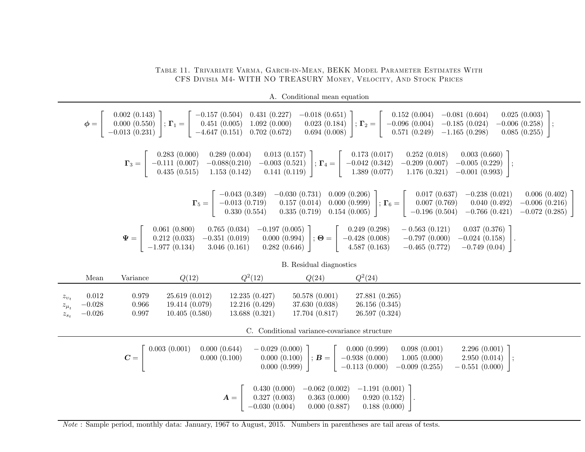Table 11. Trivariate Varma, Garch-in-Mean, BEKK Model Parameter Estimates With CFS Divisia M4- WITH NO TREASURY Money, Velocity, And Stock Prices

A. Conditional mean equation

|                                                |                                 | $\boldsymbol{\phi} = \left[ \begin{array}{ccc} 0.002 \; (0.143) \\ 0.000 \; (0.550) \\ -0.013 \; (0.231) \end{array} \right]; \, \boldsymbol{\Gamma}_1 = \left[ \begin{array}{ccc} -0.157 \; (0.504) & 0.431 \; (0.227) & -0.018 \; (0.651) \\ 0.451 \; (0.005) & 1.092 \; (0.000) & 0.023 \; (0.184) \\ -4.647 \; (0.151) & 0.702 \; (0.672) &$ |                                                                                                                                                                                                                                                                                                                                                |                                                                                                                                                                                                                                                                  |                                 |  |  |
|------------------------------------------------|---------------------------------|--------------------------------------------------------------------------------------------------------------------------------------------------------------------------------------------------------------------------------------------------------------------------------------------------------------------------------------------------|------------------------------------------------------------------------------------------------------------------------------------------------------------------------------------------------------------------------------------------------------------------------------------------------------------------------------------------------|------------------------------------------------------------------------------------------------------------------------------------------------------------------------------------------------------------------------------------------------------------------|---------------------------------|--|--|
|                                                |                                 |                                                                                                                                                                                                                                                                                                                                                  | $\boldsymbol{\Gamma}_3 = \left[ \begin{array}{ccc} 0.283 \; (0.000) & 0.289 \; (0.004) & 0.013 \; (0.157) \\ -0.111 \; (0.007) & -0.088 (0.210) & -0.003 \; (0.521) \\ 0.435 \; (0.515) & 1.153 \; (0.142) & 0.141 \; (0.119) \end{array} \right];\, \boldsymbol{\Gamma}_4 = \left[ \begin{array}{ccc} 0.173 \; (0.017) & 0.252 \; (0.018) & $ |                                                                                                                                                                                                                                                                  |                                 |  |  |
|                                                |                                 |                                                                                                                                                                                                                                                                                                                                                  | $\mathbf{\Gamma}_5 = \left[ \begin{array}{ccc} -0.043 \; (0.349) & -0.030 \; (0.731) & 0.009 \; (0.206) \\ -0.013 \; (0.719) & 0.157 \; (0.014) & 0.000 \; (0.999) \\ 0.330 \; (0.554) & 0.335 \; (0.719) & 0.154 \; (0.005) \end{array} \right]; \\ \mathbf{\Gamma}_6 = \left[ \begin{array}{ccc} 0.017 \; (0.637) & -0.238 \; (0.021) &$     |                                                                                                                                                                                                                                                                  |                                 |  |  |
|                                                |                                 |                                                                                                                                                                                                                                                                                                                                                  | $\boldsymbol{\Psi} = \left[ \begin{array}{ccc} 0.061 \; (0.800) & 0.765 \; (0.034) & -0.197 \; (0.005) \\ 0.212 \; (0.033) & -0.351 \; (0.019) & 0.000 \; (0.994) \\ -1.977 \; (0.134) & 3.046 \; (0.161) & 0.282 \; (0.646) \end{array} \right];\, \boldsymbol{\Theta} = \left[ \begin{array}{ccc} 0.249 \; (0.298) & -0.563 \; (0.121) & $   |                                                                                                                                                                                                                                                                  |                                 |  |  |
|                                                |                                 |                                                                                                                                                                                                                                                                                                                                                  |                                                                                                                                                                                                                                                                                                                                                | B. Residual diagnostics                                                                                                                                                                                                                                          |                                 |  |  |
|                                                | Mean                            | Variance<br>Q(12)                                                                                                                                                                                                                                                                                                                                | $Q^2(12)$                                                                                                                                                                                                                                                                                                                                      | Q(24)                                                                                                                                                                                                                                                            | $Q^2(24)$                       |  |  |
| $\boldsymbol{z}_{\upsilon_{t}}$<br>$z_{\mu_t}$ | 0.012<br>$-0.028\,$<br>$-0.026$ | 0.979<br>$\,0.966\,$<br>0.997                                                                                                                                                                                                                                                                                                                    | 25.619(0.012)<br>12.235(0.427)<br>19.414 (0.079)<br>12.216(0.429)<br>10.405(0.580)<br>13.688(0.321)                                                                                                                                                                                                                                            | $37.630~(0.038) \qquad 26.156~(0.345) \ 17.704~(0.817) \qquad 26.597~(0.324)$<br>C. Conditional variance-covariance structure                                                                                                                                    | $50.578(0.001)$ $27.881(0.265)$ |  |  |
|                                                |                                 |                                                                                                                                                                                                                                                                                                                                                  | $\boldsymbol{C} = \left[ \begin{array}{cccc} 0.003 \; (0.001) & 0.000 \; (0.644) & -0.029 \; (0.000) \\ & 0.000 \; (0.100) & 0.000 \; (0.100) \\ & 0.000 \; (0.100) & 0.000 \; (0.999) \end{array} \right]; \; \boldsymbol{B} = \left[ \begin{array}{cccc} 0.000 \; (0.999) & 0.098 \; (0.001) & 2.296 \; (0.001) \\ -0.938 \; (0.000)$        |                                                                                                                                                                                                                                                                  |                                 |  |  |
|                                                |                                 |                                                                                                                                                                                                                                                                                                                                                  |                                                                                                                                                                                                                                                                                                                                                | $\mathbf{A} = \left[ \begin{array}{ccc} \begin{array}{ccc} 0.430 \ (0.000) & -0.062 \ (0.002) & -1.191 \ (0.001) \\ 0.327 \ (0.003) & 0.363 \ (0.000) & 0.920 \ (0.152) \\ -0.030 \ (0.004) & 0.000 \ (0.887) & 0.188 \ (0.000) \end{array} \end{array} \right]$ |                                 |  |  |